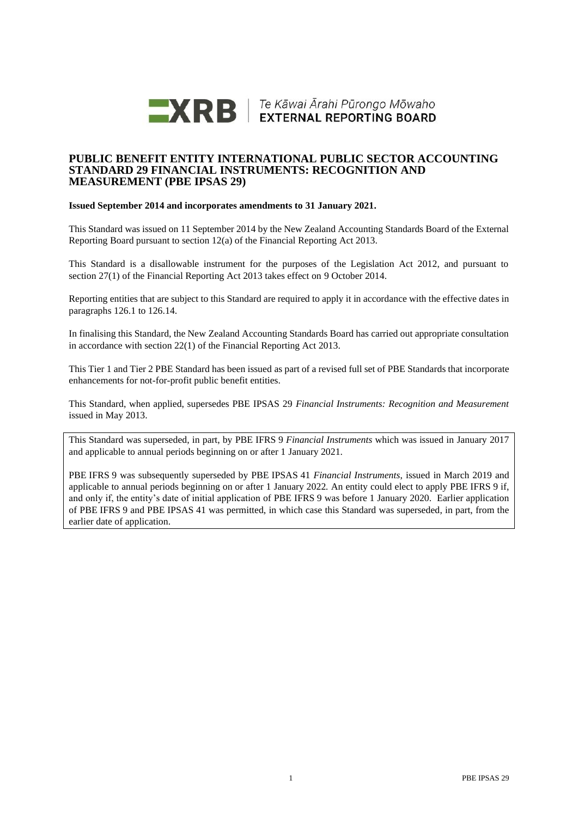

**EXRE** Fe Kāwai Ārahi Pūrongo Mōwaho

## **PUBLIC BENEFIT ENTITY INTERNATIONAL PUBLIC SECTOR ACCOUNTING STANDARD 29 FINANCIAL INSTRUMENTS: RECOGNITION AND MEASUREMENT (PBE IPSAS 29)**

#### **Issued September 2014 and incorporates amendments to 31 January 2021.**

This Standard was issued on 11 September 2014 by the New Zealand Accounting Standards Board of the External Reporting Board pursuant to section 12(a) of the Financial Reporting Act 2013.

This Standard is a disallowable instrument for the purposes of the Legislation Act 2012, and pursuant to section 27(1) of the Financial Reporting Act 2013 takes effect on 9 October 2014.

Reporting entities that are subject to this Standard are required to apply it in accordance with the effective dates in paragraphs 126.1 to 126.14.

In finalising this Standard, the New Zealand Accounting Standards Board has carried out appropriate consultation in accordance with section 22(1) of the Financial Reporting Act 2013.

This Tier 1 and Tier 2 PBE Standard has been issued as part of a revised full set of PBE Standards that incorporate enhancements for not-for-profit public benefit entities.

This Standard, when applied, supersedes PBE IPSAS 29 *Financial Instruments: Recognition and Measurement* issued in May 2013.

This Standard was superseded, in part, by PBE IFRS 9 *Financial Instruments* which was issued in January 2017 and applicable to annual periods beginning on or after 1 January 2021.

PBE IFRS 9 was subsequently superseded by PBE IPSAS 41 *Financial Instruments*, issued in March 2019 and applicable to annual periods beginning on or after 1 January 2022*.* An entity could elect to apply PBE IFRS 9 if, and only if, the entity's date of initial application of PBE IFRS 9 was before 1 January 2020. Earlier application of PBE IFRS 9 and PBE IPSAS 41 was permitted, in which case this Standard was superseded, in part, from the earlier date of application.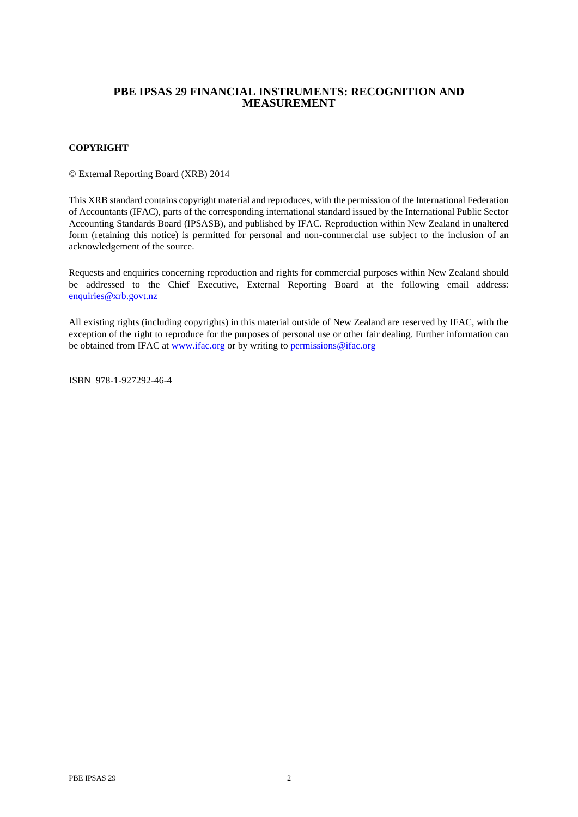# **PBE IPSAS 29 FINANCIAL INSTRUMENTS: RECOGNITION AND MEASUREMENT**

# **COPYRIGHT**

© External Reporting Board (XRB) 2014

This XRB standard contains copyright material and reproduces, with the permission of the International Federation of Accountants (IFAC), parts of the corresponding international standard issued by the International Public Sector Accounting Standards Board (IPSASB), and published by IFAC. Reproduction within New Zealand in unaltered form (retaining this notice) is permitted for personal and non-commercial use subject to the inclusion of an acknowledgement of the source.

Requests and enquiries concerning reproduction and rights for commercial purposes within New Zealand should be addressed to the Chief Executive, External Reporting Board at the following email address: [enquiries@xrb.govt.nz](mailto:enquiries@xrb.govt.nz)

All existing rights (including copyrights) in this material outside of New Zealand are reserved by IFAC, with the exception of the right to reproduce for the purposes of personal use or other fair dealing. Further information can be obtained from IFAC a[t www.ifac.org](http://www.ifac.org/) or by writing to [permissions@ifac.org](mailto:permissions@ifac.org)

ISBN 978-1-927292-46-4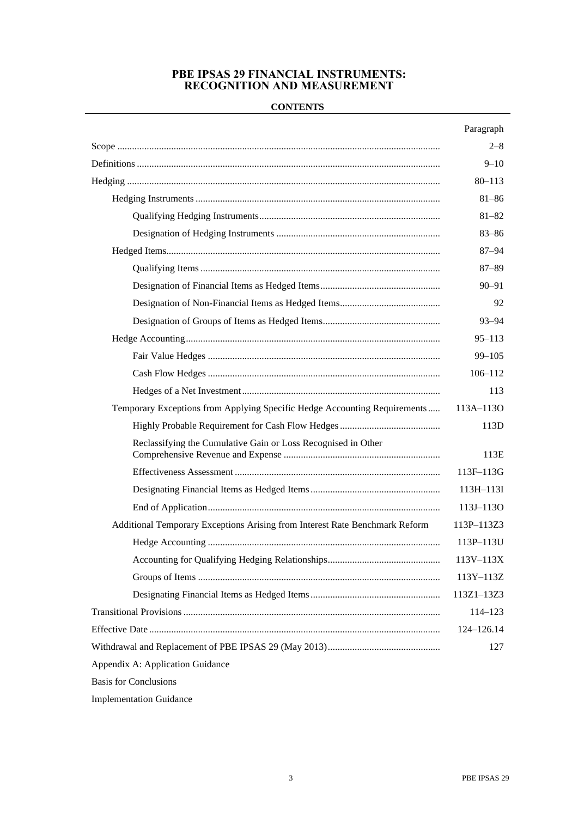# **PBE IPSAS 29 FINANCIAL INSTRUMENTS: RECOGNITION AND MEASUREMENT**

## **CONTENTS**

|                                                                             | Paragraph     |
|-----------------------------------------------------------------------------|---------------|
|                                                                             | $2 - 8$       |
|                                                                             | $9 - 10$      |
|                                                                             | $80 - 113$    |
|                                                                             | $81 - 86$     |
|                                                                             | $81 - 82$     |
|                                                                             | $83 - 86$     |
|                                                                             | $87 - 94$     |
|                                                                             | $87 - 89$     |
|                                                                             | $90 - 91$     |
|                                                                             | 92            |
|                                                                             | $93 - 94$     |
|                                                                             | $95 - 113$    |
|                                                                             | $99 - 105$    |
|                                                                             | $106 - 112$   |
|                                                                             | 113           |
| Temporary Exceptions from Applying Specific Hedge Accounting Requirements   | 113A-113O     |
|                                                                             | 113D          |
| Reclassifying the Cumulative Gain or Loss Recognised in Other               | 113E          |
|                                                                             | $113F-113G$   |
|                                                                             | $113H - 113I$ |
|                                                                             | $113J - 113O$ |
| Additional Temporary Exceptions Arising from Interest Rate Benchmark Reform | 113P-113Z3    |
|                                                                             | 113P-113U     |
|                                                                             | 113V-113X     |
|                                                                             | 113Y-113Z     |
|                                                                             | 113Z1-13Z3    |
|                                                                             | 114-123       |
|                                                                             | 124-126.14    |
|                                                                             | 127           |
| Appendix A: Application Guidance                                            |               |
| <b>Basis for Conclusions</b>                                                |               |

Implementation Guidance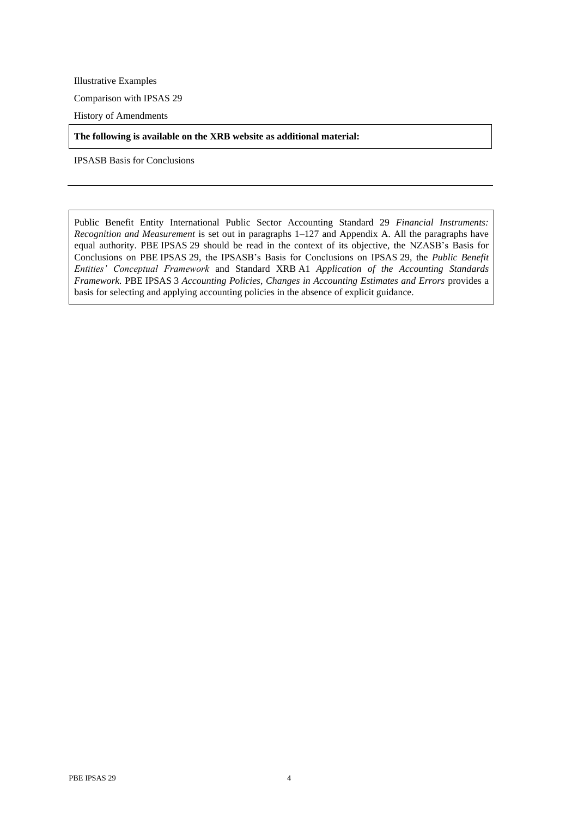Illustrative Examples

Comparison with IPSAS 29

History of Amendments

#### **The following is available on the XRB website as additional material:**

IPSASB Basis for Conclusions

Public Benefit Entity International Public Sector Accounting Standard 29 *Financial Instruments: Recognition and Measurement* is set out in paragraphs 1–127 and Appendix A. All the paragraphs have equal authority. PBE IPSAS 29 should be read in the context of its objective, the NZASB's Basis for Conclusions on PBE IPSAS 29, the IPSASB's Basis for Conclusions on IPSAS 29, the *Public Benefit Entities' Conceptual Framework* and Standard XRB A1 *Application of the Accounting Standards Framework.* PBE IPSAS 3 *Accounting Policies, Changes in Accounting Estimates and Errors* provides a basis for selecting and applying accounting policies in the absence of explicit guidance.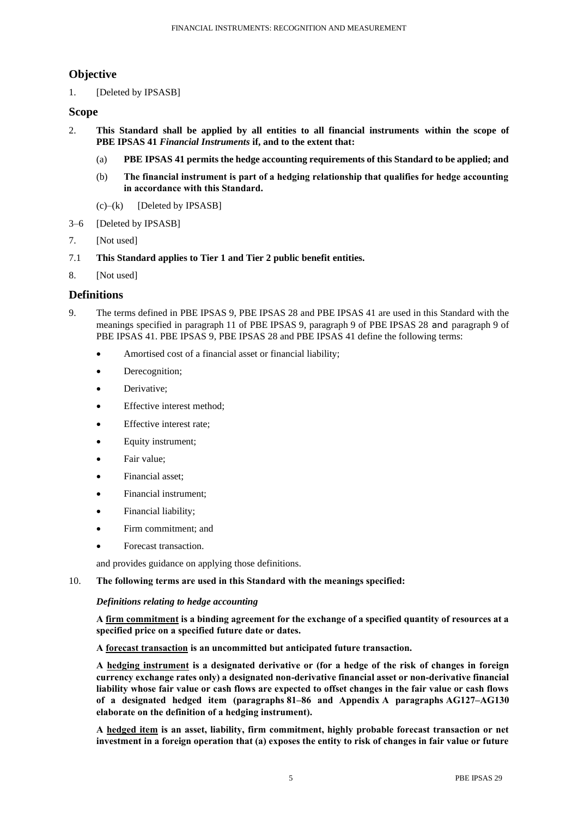# **Objective**

1. [Deleted by IPSASB]

# **Scope**

- 2. **This Standard shall be applied by all entities to all financial instruments within the scope of PBE IPSAS 41** *Financial Instruments* **if, and to the extent that:**
	- (a) **PBE IPSAS 41 permits the hedge accounting requirements of this Standard to be applied; and**
	- (b) **The financial instrument is part of a hedging relationship that qualifies for hedge accounting in accordance with this Standard.**
	- $(c)$ – $(k)$  [Deleted by IPSASB]
- 3–6 [Deleted by IPSASB]
- 7. [Not used]
- 7.1 **This Standard applies to Tier 1 and Tier 2 public benefit entities.**
- 8. [Not used]

# **Definitions**

- 9. The terms defined in PBE IPSAS 9, PBE IPSAS 28 and PBE IPSAS 41 are used in this Standard with the meanings specified in paragraph 11 of PBE IPSAS 9, paragraph 9 of PBE IPSAS 28 and paragraph 9 of PBE IPSAS 41. PBE IPSAS 9, PBE IPSAS 28 and PBE IPSAS 41 define the following terms:
	- Amortised cost of a financial asset or financial liability;
	- Derecognition;
	- Derivative:
	- Effective interest method:
	- Effective interest rate;
	- Equity instrument;
	- Fair value;
	- Financial asset;
	- Financial instrument;
	- Financial liability;
	- Firm commitment; and
	- Forecast transaction.

and provides guidance on applying those definitions.

10. **The following terms are used in this Standard with the meanings specified:**

## *Definitions relating to hedge accounting*

**A firm commitment is a binding agreement for the exchange of a specified quantity of resources at a specified price on a specified future date or dates.**

**A forecast transaction is an uncommitted but anticipated future transaction.**

**A hedging instrument is a designated derivative or (for a hedge of the risk of changes in foreign currency exchange rates only) a designated non-derivative financial asset or non-derivative financial liability whose fair value or cash flows are expected to offset changes in the fair value or cash flows of a designated hedged item (paragraphs 81–86 and Appendix A paragraphs AG127–AG130 elaborate on the definition of a hedging instrument).**

**A hedged item is an asset, liability, firm commitment, highly probable forecast transaction or net investment in a foreign operation that (a) exposes the entity to risk of changes in fair value or future**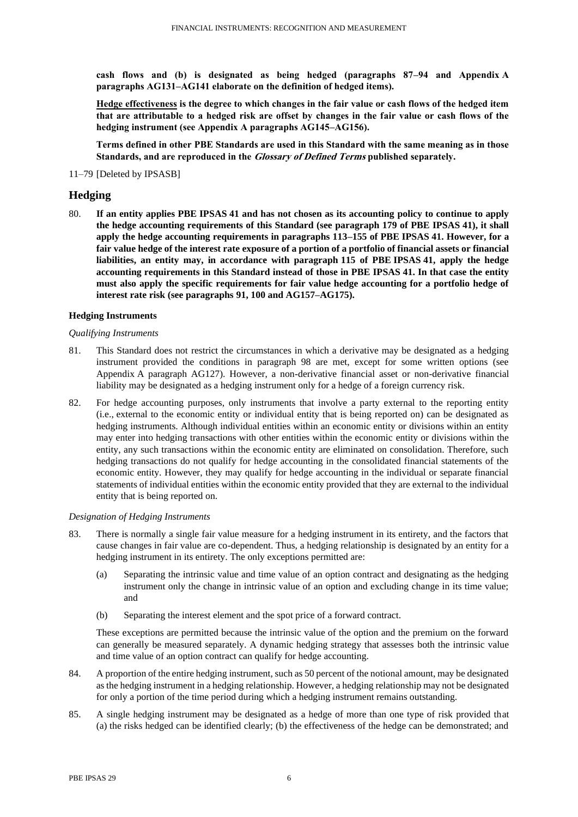**cash flows and (b) is designated as being hedged (paragraphs 87–94 and Appendix A paragraphs AG131–AG141 elaborate on the definition of hedged items).**

**Hedge effectiveness is the degree to which changes in the fair value or cash flows of the hedged item that are attributable to a hedged risk are offset by changes in the fair value or cash flows of the hedging instrument (see Appendix A paragraphs AG145–AG156).**

**Terms defined in other PBE Standards are used in this Standard with the same meaning as in those Standards, and are reproduced in the Glossary of Defined Terms published separately.** 

11–79 [Deleted by IPSASB]

# **Hedging**

80. **If an entity applies PBE IPSAS 41 and has not chosen as its accounting policy to continue to apply the hedge accounting requirements of this Standard (see paragraph 179 of PBE IPSAS 41), it shall apply the hedge accounting requirements in paragraphs 113–155 of PBE IPSAS 41. However, for a fair value hedge of the interest rate exposure of a portion of a portfolio of financial assets or financial liabilities, an entity may, in accordance with paragraph 115 of PBE IPSAS 41, apply the hedge accounting requirements in this Standard instead of those in PBE IPSAS 41. In that case the entity must also apply the specific requirements for fair value hedge accounting for a portfolio hedge of interest rate risk (see paragraphs 91, 100 and AG157–AG175).**

## **Hedging Instruments**

#### *Qualifying Instruments*

- 81. This Standard does not restrict the circumstances in which a derivative may be designated as a hedging instrument provided the conditions in paragraph 98 are met, except for some written options (see Appendix A paragraph AG127). However, a non-derivative financial asset or non-derivative financial liability may be designated as a hedging instrument only for a hedge of a foreign currency risk.
- 82. For hedge accounting purposes, only instruments that involve a party external to the reporting entity (i.e., external to the economic entity or individual entity that is being reported on) can be designated as hedging instruments. Although individual entities within an economic entity or divisions within an entity may enter into hedging transactions with other entities within the economic entity or divisions within the entity, any such transactions within the economic entity are eliminated on consolidation. Therefore, such hedging transactions do not qualify for hedge accounting in the consolidated financial statements of the economic entity. However, they may qualify for hedge accounting in the individual or separate financial statements of individual entities within the economic entity provided that they are external to the individual entity that is being reported on.

## *Designation of Hedging Instruments*

- 83. There is normally a single fair value measure for a hedging instrument in its entirety, and the factors that cause changes in fair value are co-dependent. Thus, a hedging relationship is designated by an entity for a hedging instrument in its entirety. The only exceptions permitted are:
	- (a) Separating the intrinsic value and time value of an option contract and designating as the hedging instrument only the change in intrinsic value of an option and excluding change in its time value; and
	- (b) Separating the interest element and the spot price of a forward contract.

These exceptions are permitted because the intrinsic value of the option and the premium on the forward can generally be measured separately. A dynamic hedging strategy that assesses both the intrinsic value and time value of an option contract can qualify for hedge accounting.

- 84. A proportion of the entire hedging instrument, such as 50 percent of the notional amount, may be designated as the hedging instrument in a hedging relationship. However, a hedging relationship may not be designated for only a portion of the time period during which a hedging instrument remains outstanding.
- 85. A single hedging instrument may be designated as a hedge of more than one type of risk provided that (a) the risks hedged can be identified clearly; (b) the effectiveness of the hedge can be demonstrated; and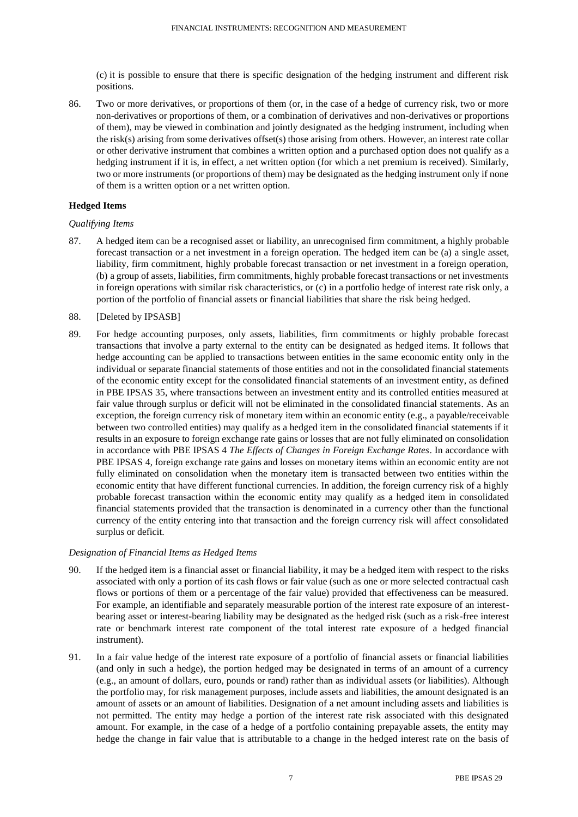(c) it is possible to ensure that there is specific designation of the hedging instrument and different risk positions.

86. Two or more derivatives, or proportions of them (or, in the case of a hedge of currency risk, two or more non-derivatives or proportions of them, or a combination of derivatives and non-derivatives or proportions of them), may be viewed in combination and jointly designated as the hedging instrument, including when the risk(s) arising from some derivatives offset(s) those arising from others. However, an interest rate collar or other derivative instrument that combines a written option and a purchased option does not qualify as a hedging instrument if it is, in effect, a net written option (for which a net premium is received). Similarly, two or more instruments (or proportions of them) may be designated as the hedging instrument only if none of them is a written option or a net written option.

## **Hedged Items**

#### *Qualifying Items*

- 87. A hedged item can be a recognised asset or liability, an unrecognised firm commitment, a highly probable forecast transaction or a net investment in a foreign operation. The hedged item can be (a) a single asset, liability, firm commitment, highly probable forecast transaction or net investment in a foreign operation, (b) a group of assets, liabilities, firm commitments, highly probable forecast transactions or net investments in foreign operations with similar risk characteristics, or (c) in a portfolio hedge of interest rate risk only, a portion of the portfolio of financial assets or financial liabilities that share the risk being hedged.
- 88. [Deleted by IPSASB]
- 89. For hedge accounting purposes, only assets, liabilities, firm commitments or highly probable forecast transactions that involve a party external to the entity can be designated as hedged items. It follows that hedge accounting can be applied to transactions between entities in the same economic entity only in the individual or separate financial statements of those entities and not in the consolidated financial statements of the economic entity except for the consolidated financial statements of an investment entity, as defined in PBE IPSAS 35, where transactions between an investment entity and its controlled entities measured at fair value through surplus or deficit will not be eliminated in the consolidated financial statements. As an exception, the foreign currency risk of monetary item within an economic entity (e.g., a payable/receivable between two controlled entities) may qualify as a hedged item in the consolidated financial statements if it results in an exposure to foreign exchange rate gains or losses that are not fully eliminated on consolidation in accordance with PBE IPSAS 4 *The Effects of Changes in Foreign Exchange Rates*. In accordance with PBE IPSAS 4, foreign exchange rate gains and losses on monetary items within an economic entity are not fully eliminated on consolidation when the monetary item is transacted between two entities within the economic entity that have different functional currencies. In addition, the foreign currency risk of a highly probable forecast transaction within the economic entity may qualify as a hedged item in consolidated financial statements provided that the transaction is denominated in a currency other than the functional currency of the entity entering into that transaction and the foreign currency risk will affect consolidated surplus or deficit.

#### *Designation of Financial Items as Hedged Items*

- 90. If the hedged item is a financial asset or financial liability, it may be a hedged item with respect to the risks associated with only a portion of its cash flows or fair value (such as one or more selected contractual cash flows or portions of them or a percentage of the fair value) provided that effectiveness can be measured. For example, an identifiable and separately measurable portion of the interest rate exposure of an interestbearing asset or interest-bearing liability may be designated as the hedged risk (such as a risk-free interest rate or benchmark interest rate component of the total interest rate exposure of a hedged financial instrument).
- 91. In a fair value hedge of the interest rate exposure of a portfolio of financial assets or financial liabilities (and only in such a hedge), the portion hedged may be designated in terms of an amount of a currency (e.g., an amount of dollars, euro, pounds or rand) rather than as individual assets (or liabilities). Although the portfolio may, for risk management purposes, include assets and liabilities, the amount designated is an amount of assets or an amount of liabilities. Designation of a net amount including assets and liabilities is not permitted. The entity may hedge a portion of the interest rate risk associated with this designated amount. For example, in the case of a hedge of a portfolio containing prepayable assets, the entity may hedge the change in fair value that is attributable to a change in the hedged interest rate on the basis of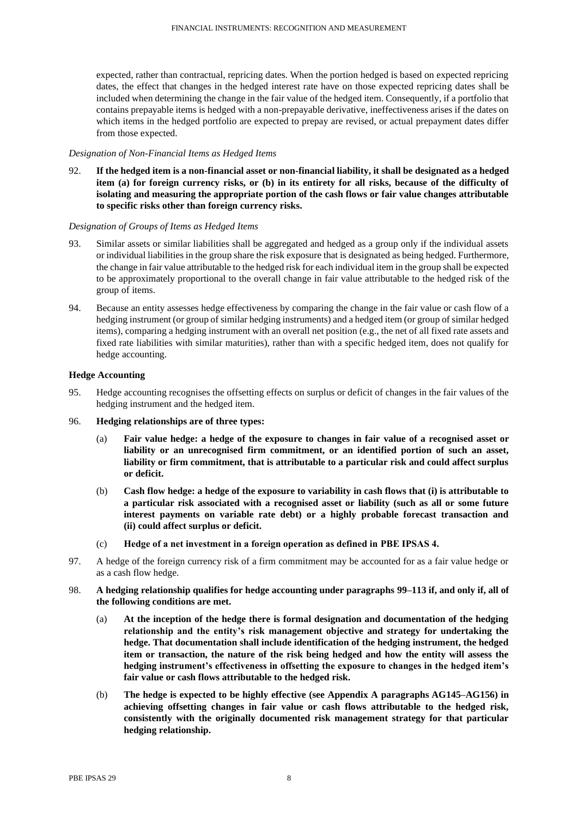expected, rather than contractual, repricing dates. When the portion hedged is based on expected repricing dates, the effect that changes in the hedged interest rate have on those expected repricing dates shall be included when determining the change in the fair value of the hedged item. Consequently, if a portfolio that contains prepayable items is hedged with a non-prepayable derivative, ineffectiveness arises if the dates on which items in the hedged portfolio are expected to prepay are revised, or actual prepayment dates differ from those expected.

#### *Designation of Non-Financial Items as Hedged Items*

92. **If the hedged item is a non-financial asset or non-financial liability, it shall be designated as a hedged item (a) for foreign currency risks, or (b) in its entirety for all risks, because of the difficulty of isolating and measuring the appropriate portion of the cash flows or fair value changes attributable to specific risks other than foreign currency risks.**

#### *Designation of Groups of Items as Hedged Items*

- 93. Similar assets or similar liabilities shall be aggregated and hedged as a group only if the individual assets or individual liabilities in the group share the risk exposure that is designated as being hedged. Furthermore, the change in fair value attributable to the hedged risk for each individual item in the group shall be expected to be approximately proportional to the overall change in fair value attributable to the hedged risk of the group of items.
- 94. Because an entity assesses hedge effectiveness by comparing the change in the fair value or cash flow of a hedging instrument (or group of similar hedging instruments) and a hedged item (or group of similar hedged items), comparing a hedging instrument with an overall net position (e.g., the net of all fixed rate assets and fixed rate liabilities with similar maturities), rather than with a specific hedged item, does not qualify for hedge accounting.

#### **Hedge Accounting**

- 95. Hedge accounting recognises the offsetting effects on surplus or deficit of changes in the fair values of the hedging instrument and the hedged item.
- 96. **Hedging relationships are of three types:**
	- (a) **Fair value hedge: a hedge of the exposure to changes in fair value of a recognised asset or liability or an unrecognised firm commitment, or an identified portion of such an asset, liability or firm commitment, that is attributable to a particular risk and could affect surplus or deficit.**
	- (b) **Cash flow hedge: a hedge of the exposure to variability in cash flows that (i) is attributable to a particular risk associated with a recognised asset or liability (such as all or some future interest payments on variable rate debt) or a highly probable forecast transaction and (ii) could affect surplus or deficit.**
	- (c) **Hedge of a net investment in a foreign operation as defined in PBE IPSAS 4.**
- 97. A hedge of the foreign currency risk of a firm commitment may be accounted for as a fair value hedge or as a cash flow hedge.
- 98. **A hedging relationship qualifies for hedge accounting under paragraphs 99–113 if, and only if, all of the following conditions are met.**
	- (a) **At the inception of the hedge there is formal designation and documentation of the hedging relationship and the entity's risk management objective and strategy for undertaking the hedge. That documentation shall include identification of the hedging instrument, the hedged item or transaction, the nature of the risk being hedged and how the entity will assess the hedging instrument's effectiveness in offsetting the exposure to changes in the hedged item's fair value or cash flows attributable to the hedged risk.**
	- (b) **The hedge is expected to be highly effective (see Appendix A paragraphs AG145–AG156) in achieving offsetting changes in fair value or cash flows attributable to the hedged risk, consistently with the originally documented risk management strategy for that particular hedging relationship.**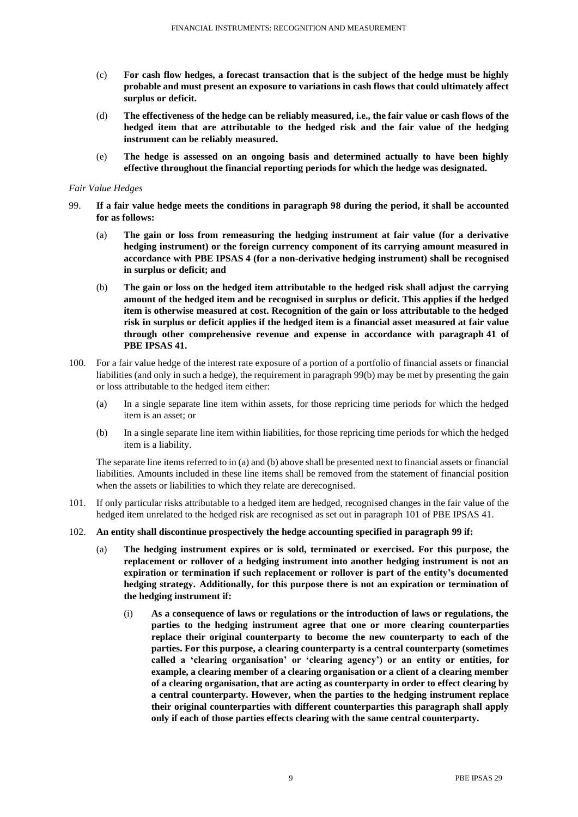- (c) **For cash flow hedges, a forecast transaction that is the subject of the hedge must be highly probable and must present an exposure to variations in cash flows that could ultimately affect surplus or deficit.**
- (d) **The effectiveness of the hedge can be reliably measured, i.e., the fair value or cash flows of the hedged item that are attributable to the hedged risk and the fair value of the hedging instrument can be reliably measured.**
- (e) **The hedge is assessed on an ongoing basis and determined actually to have been highly effective throughout the financial reporting periods for which the hedge was designated.**

#### *Fair Value Hedges*

- 99. **If a fair value hedge meets the conditions in paragraph 98 during the period, it shall be accounted for as follows:**
	- (a) **The gain or loss from remeasuring the hedging instrument at fair value (for a derivative hedging instrument) or the foreign currency component of its carrying amount measured in accordance with PBE IPSAS 4 (for a non-derivative hedging instrument) shall be recognised in surplus or deficit; and**
	- (b) **The gain or loss on the hedged item attributable to the hedged risk shall adjust the carrying amount of the hedged item and be recognised in surplus or deficit. This applies if the hedged item is otherwise measured at cost. Recognition of the gain or loss attributable to the hedged risk in surplus or deficit applies if the hedged item is a financial asset measured at fair value through other comprehensive revenue and expense in accordance with paragraph 41 of PBE IPSAS 41.**
- 100. For a fair value hedge of the interest rate exposure of a portion of a portfolio of financial assets or financial liabilities (and only in such a hedge), the requirement in paragraph 99(b) may be met by presenting the gain or loss attributable to the hedged item either:
	- (a) In a single separate line item within assets, for those repricing time periods for which the hedged item is an asset; or
	- (b) In a single separate line item within liabilities, for those repricing time periods for which the hedged item is a liability.

The separate line items referred to in (a) and (b) above shall be presented next to financial assets or financial liabilities. Amounts included in these line items shall be removed from the statement of financial position when the assets or liabilities to which they relate are derecognised.

- 101. If only particular risks attributable to a hedged item are hedged, recognised changes in the fair value of the hedged item unrelated to the hedged risk are recognised as set out in paragraph 101 of PBE IPSAS 41.
- 102. **An entity shall discontinue prospectively the hedge accounting specified in paragraph 99 if:**
	- (a) **The hedging instrument expires or is sold, terminated or exercised. For this purpose, the replacement or rollover of a hedging instrument into another hedging instrument is not an expiration or termination if such replacement or rollover is part of the entity's documented hedging strategy. Additionally, for this purpose there is not an expiration or termination of the hedging instrument if:**
		- (i) **As a consequence of laws or regulations or the introduction of laws or regulations, the parties to the hedging instrument agree that one or more clearing counterparties replace their original counterparty to become the new counterparty to each of the parties. For this purpose, a clearing counterparty is a central counterparty (sometimes called a 'clearing organisation' or 'clearing agency') or an entity or entities, for example, a clearing member of a clearing organisation or a client of a clearing member of a clearing organisation, that are acting as counterparty in order to effect clearing by a central counterparty. However, when the parties to the hedging instrument replace their original counterparties with different counterparties this paragraph shall apply only if each of those parties effects clearing with the same central counterparty.**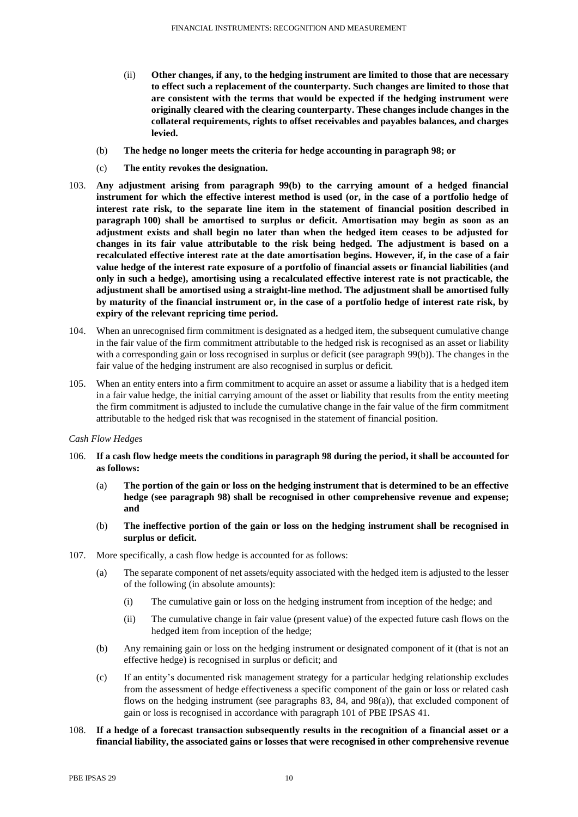- (ii) **Other changes, if any, to the hedging instrument are limited to those that are necessary to effect such a replacement of the counterparty. Such changes are limited to those that are consistent with the terms that would be expected if the hedging instrument were originally cleared with the clearing counterparty. These changes include changes in the collateral requirements, rights to offset receivables and payables balances, and charges levied.**
- (b) **The hedge no longer meets the criteria for hedge accounting in paragraph 98; or**
- (c) **The entity revokes the designation.**
- 103. **Any adjustment arising from paragraph 99(b) to the carrying amount of a hedged financial instrument for which the effective interest method is used (or, in the case of a portfolio hedge of interest rate risk, to the separate line item in the statement of financial position described in paragraph 100) shall be amortised to surplus or deficit. Amortisation may begin as soon as an adjustment exists and shall begin no later than when the hedged item ceases to be adjusted for changes in its fair value attributable to the risk being hedged. The adjustment is based on a recalculated effective interest rate at the date amortisation begins. However, if, in the case of a fair value hedge of the interest rate exposure of a portfolio of financial assets or financial liabilities (and only in such a hedge), amortising using a recalculated effective interest rate is not practicable, the adjustment shall be amortised using a straight-line method. The adjustment shall be amortised fully by maturity of the financial instrument or, in the case of a portfolio hedge of interest rate risk, by expiry of the relevant repricing time period.**
- 104. When an unrecognised firm commitment is designated as a hedged item, the subsequent cumulative change in the fair value of the firm commitment attributable to the hedged risk is recognised as an asset or liability with a corresponding gain or loss recognised in surplus or deficit (see paragraph 99(b)). The changes in the fair value of the hedging instrument are also recognised in surplus or deficit.
- 105. When an entity enters into a firm commitment to acquire an asset or assume a liability that is a hedged item in a fair value hedge, the initial carrying amount of the asset or liability that results from the entity meeting the firm commitment is adjusted to include the cumulative change in the fair value of the firm commitment attributable to the hedged risk that was recognised in the statement of financial position.

## *Cash Flow Hedges*

- 106. **If a cash flow hedge meets the conditions in paragraph 98 during the period, it shall be accounted for as follows:**
	- (a) **The portion of the gain or loss on the hedging instrument that is determined to be an effective hedge (see paragraph 98) shall be recognised in other comprehensive revenue and expense; and**
	- (b) **The ineffective portion of the gain or loss on the hedging instrument shall be recognised in surplus or deficit.**
- 107. More specifically, a cash flow hedge is accounted for as follows:
	- (a) The separate component of net assets/equity associated with the hedged item is adjusted to the lesser of the following (in absolute amounts):
		- (i) The cumulative gain or loss on the hedging instrument from inception of the hedge; and
		- (ii) The cumulative change in fair value (present value) of the expected future cash flows on the hedged item from inception of the hedge;
	- (b) Any remaining gain or loss on the hedging instrument or designated component of it (that is not an effective hedge) is recognised in surplus or deficit; and
	- (c) If an entity's documented risk management strategy for a particular hedging relationship excludes from the assessment of hedge effectiveness a specific component of the gain or loss or related cash flows on the hedging instrument (see paragraphs 83, 84, and 98(a)), that excluded component of gain or loss is recognised in accordance with paragraph 101 of PBE IPSAS 41.
- 108. **If a hedge of a forecast transaction subsequently results in the recognition of a financial asset or a financial liability, the associated gains or losses that were recognised in other comprehensive revenue**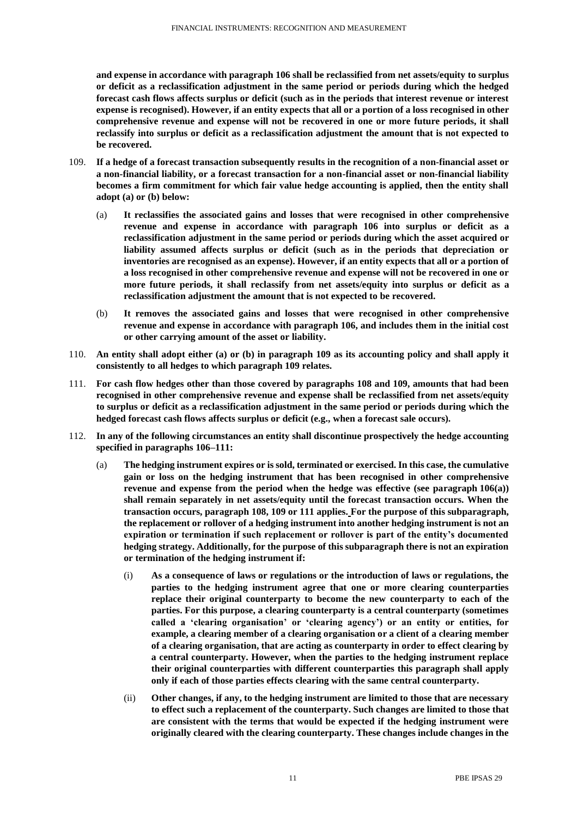**and expense in accordance with paragraph 106 shall be reclassified from net assets/equity to surplus or deficit as a reclassification adjustment in the same period or periods during which the hedged forecast cash flows affects surplus or deficit (such as in the periods that interest revenue or interest expense is recognised). However, if an entity expects that all or a portion of a loss recognised in other comprehensive revenue and expense will not be recovered in one or more future periods, it shall reclassify into surplus or deficit as a reclassification adjustment the amount that is not expected to be recovered.**

- 109. **If a hedge of a forecast transaction subsequently results in the recognition of a non-financial asset or a non-financial liability, or a forecast transaction for a non-financial asset or non-financial liability becomes a firm commitment for which fair value hedge accounting is applied, then the entity shall adopt (a) or (b) below:**
	- (a) **It reclassifies the associated gains and losses that were recognised in other comprehensive revenue and expense in accordance with paragraph 106 into surplus or deficit as a reclassification adjustment in the same period or periods during which the asset acquired or liability assumed affects surplus or deficit (such as in the periods that depreciation or inventories are recognised as an expense). However, if an entity expects that all or a portion of a loss recognised in other comprehensive revenue and expense will not be recovered in one or more future periods, it shall reclassify from net assets/equity into surplus or deficit as a reclassification adjustment the amount that is not expected to be recovered.**
	- (b) **It removes the associated gains and losses that were recognised in other comprehensive revenue and expense in accordance with paragraph 106, and includes them in the initial cost or other carrying amount of the asset or liability.**
- 110. **An entity shall adopt either (a) or (b) in paragraph 109 as its accounting policy and shall apply it consistently to all hedges to which paragraph 109 relates.**
- 111. **For cash flow hedges other than those covered by paragraphs 108 and 109, amounts that had been recognised in other comprehensive revenue and expense shall be reclassified from net assets/equity to surplus or deficit as a reclassification adjustment in the same period or periods during which the hedged forecast cash flows affects surplus or deficit (e.g., when a forecast sale occurs).**
- 112. **In any of the following circumstances an entity shall discontinue prospectively the hedge accounting specified in paragraphs 106–111:**
	- (a) **The hedging instrument expires or is sold, terminated or exercised. In this case, the cumulative gain or loss on the hedging instrument that has been recognised in other comprehensive revenue and expense from the period when the hedge was effective (see paragraph 106(a)) shall remain separately in net assets/equity until the forecast transaction occurs. When the transaction occurs, paragraph 108, 109 or 111 applies. For the purpose of this subparagraph, the replacement or rollover of a hedging instrument into another hedging instrument is not an expiration or termination if such replacement or rollover is part of the entity's documented hedging strategy. Additionally, for the purpose of this subparagraph there is not an expiration or termination of the hedging instrument if:** 
		- (i) **As a consequence of laws or regulations or the introduction of laws or regulations, the parties to the hedging instrument agree that one or more clearing counterparties replace their original counterparty to become the new counterparty to each of the parties. For this purpose, a clearing counterparty is a central counterparty (sometimes called a 'clearing organisation' or 'clearing agency') or an entity or entities, for example, a clearing member of a clearing organisation or a client of a clearing member of a clearing organisation, that are acting as counterparty in order to effect clearing by a central counterparty. However, when the parties to the hedging instrument replace their original counterparties with different counterparties this paragraph shall apply only if each of those parties effects clearing with the same central counterparty.**
		- (ii) **Other changes, if any, to the hedging instrument are limited to those that are necessary to effect such a replacement of the counterparty. Such changes are limited to those that are consistent with the terms that would be expected if the hedging instrument were originally cleared with the clearing counterparty. These changes include changes in the**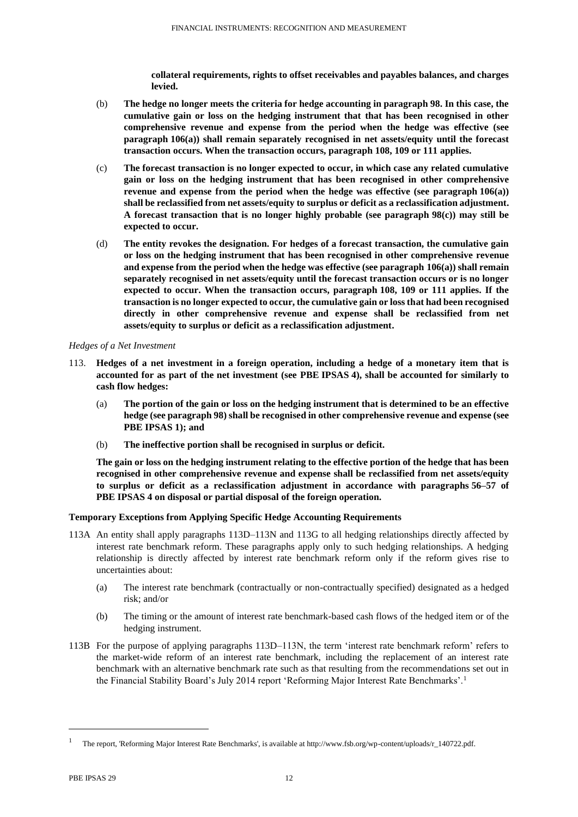**collateral requirements, rights to offset receivables and payables balances, and charges levied.**

- (b) **The hedge no longer meets the criteria for hedge accounting in paragraph 98. In this case, the cumulative gain or loss on the hedging instrument that that has been recognised in other comprehensive revenue and expense from the period when the hedge was effective (see paragraph 106(a)) shall remain separately recognised in net assets/equity until the forecast transaction occurs. When the transaction occurs, paragraph 108, 109 or 111 applies.**
- (c) **The forecast transaction is no longer expected to occur, in which case any related cumulative gain or loss on the hedging instrument that has been recognised in other comprehensive revenue and expense from the period when the hedge was effective (see paragraph 106(a)) shall be reclassified from net assets/equity to surplus or deficit as a reclassification adjustment. A forecast transaction that is no longer highly probable (see paragraph 98(c)) may still be expected to occur.**
- (d) **The entity revokes the designation. For hedges of a forecast transaction, the cumulative gain or loss on the hedging instrument that has been recognised in other comprehensive revenue and expense from the period when the hedge was effective (see paragraph 106(a)) shall remain separately recognised in net assets/equity until the forecast transaction occurs or is no longer expected to occur. When the transaction occurs, paragraph 108, 109 or 111 applies. If the transaction is no longer expected to occur, the cumulative gain or loss that had been recognised directly in other comprehensive revenue and expense shall be reclassified from net assets/equity to surplus or deficit as a reclassification adjustment.**

#### *Hedges of a Net Investment*

- 113. **Hedges of a net investment in a foreign operation, including a hedge of a monetary item that is accounted for as part of the net investment (see PBE IPSAS 4), shall be accounted for similarly to cash flow hedges:**
	- (a) **The portion of the gain or loss on the hedging instrument that is determined to be an effective hedge (see paragraph 98) shall be recognised in other comprehensive revenue and expense (see PBE IPSAS 1); and**
	- (b) **The ineffective portion shall be recognised in surplus or deficit.**

**The gain or loss on the hedging instrument relating to the effective portion of the hedge that has been recognised in other comprehensive revenue and expense shall be reclassified from net assets/equity to surplus or deficit as a reclassification adjustment in accordance with paragraphs 56–57 of PBE IPSAS 4 on disposal or partial disposal of the foreign operation.** 

## **Temporary Exceptions from Applying Specific Hedge Accounting Requirements**

- 113A An entity shall apply paragraphs 113D–113N and 113G to all hedging relationships directly affected by interest rate benchmark reform. These paragraphs apply only to such hedging relationships. A hedging relationship is directly affected by interest rate benchmark reform only if the reform gives rise to uncertainties about:
	- (a) The interest rate benchmark (contractually or non-contractually specified) designated as a hedged risk; and/or
	- (b) The timing or the amount of interest rate benchmark-based cash flows of the hedged item or of the hedging instrument.
- 113B For the purpose of applying paragraphs 113D–113N, the term 'interest rate benchmark reform' refers to the market-wide reform of an interest rate benchmark, including the replacement of an interest rate benchmark with an alternative benchmark rate such as that resulting from the recommendations set out in the Financial Stability Board's July 2014 report 'Reforming Major Interest Rate Benchmarks'.<sup>1</sup>

<sup>1</sup> The report, 'Reforming Major Interest Rate Benchmarks', is available at http://www.fsb.org/wp-content/uploads/r\_140722.pdf.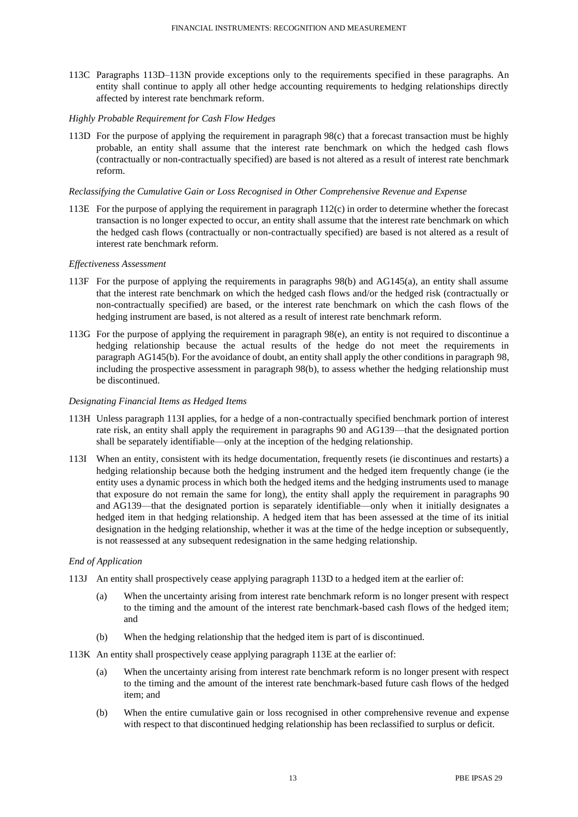113C Paragraphs 113D–113N provide exceptions only to the requirements specified in these paragraphs. An entity shall continue to apply all other hedge accounting requirements to hedging relationships directly affected by interest rate benchmark reform.

#### *Highly Probable Requirement for Cash Flow Hedges*

113D For the purpose of applying the requirement in paragraph 98(c) that a forecast transaction must be highly probable, an entity shall assume that the interest rate benchmark on which the hedged cash flows (contractually or non-contractually specified) are based is not altered as a result of interest rate benchmark reform.

#### *Reclassifying the Cumulative Gain or Loss Recognised in Other Comprehensive Revenue and Expense*

113E For the purpose of applying the requirement in paragraph 112(c) in order to determine whether the forecast transaction is no longer expected to occur, an entity shall assume that the interest rate benchmark on which the hedged cash flows (contractually or non-contractually specified) are based is not altered as a result of interest rate benchmark reform.

#### *Effectiveness Assessment*

- 113F For the purpose of applying the requirements in paragraphs 98(b) and AG145(a), an entity shall assume that the interest rate benchmark on which the hedged cash flows and/or the hedged risk (contractually or non-contractually specified) are based, or the interest rate benchmark on which the cash flows of the hedging instrument are based, is not altered as a result of interest rate benchmark reform.
- 113G For the purpose of applying the requirement in paragraph 98(e), an entity is not required to discontinue a hedging relationship because the actual results of the hedge do not meet the requirements in paragraph AG145(b). For the avoidance of doubt, an entity shall apply the other conditions in paragraph 98, including the prospective assessment in paragraph 98(b), to assess whether the hedging relationship must be discontinued.

#### *Designating Financial Items as Hedged Items*

- 113H Unless paragraph 113I applies, for a hedge of a non-contractually specified benchmark portion of interest rate risk, an entity shall apply the requirement in paragraphs 90 and AG139—that the designated portion shall be separately identifiable—only at the inception of the hedging relationship.
- 113I When an entity, consistent with its hedge documentation, frequently resets (ie discontinues and restarts) a hedging relationship because both the hedging instrument and the hedged item frequently change (ie the entity uses a dynamic process in which both the hedged items and the hedging instruments used to manage that exposure do not remain the same for long), the entity shall apply the requirement in paragraphs 90 and AG139—that the designated portion is separately identifiable—only when it initially designates a hedged item in that hedging relationship. A hedged item that has been assessed at the time of its initial designation in the hedging relationship, whether it was at the time of the hedge inception or subsequently, is not reassessed at any subsequent redesignation in the same hedging relationship.

#### *End of Application*

- 113J An entity shall prospectively cease applying paragraph 113D to a hedged item at the earlier of:
	- (a) When the uncertainty arising from interest rate benchmark reform is no longer present with respect to the timing and the amount of the interest rate benchmark-based cash flows of the hedged item; and
	- (b) When the hedging relationship that the hedged item is part of is discontinued.
- 113K An entity shall prospectively cease applying paragraph 113E at the earlier of:
	- (a) When the uncertainty arising from interest rate benchmark reform is no longer present with respect to the timing and the amount of the interest rate benchmark-based future cash flows of the hedged item; and
	- (b) When the entire cumulative gain or loss recognised in other comprehensive revenue and expense with respect to that discontinued hedging relationship has been reclassified to surplus or deficit.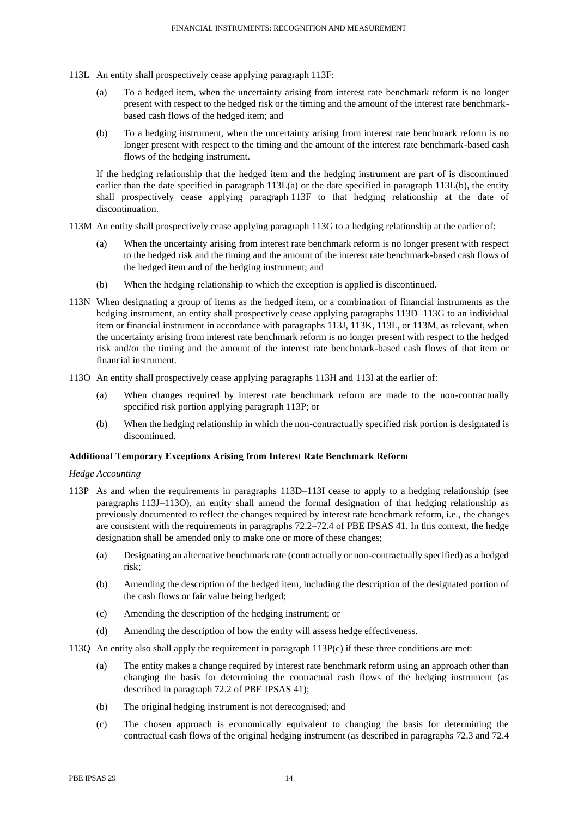- 113L An entity shall prospectively cease applying paragraph 113F:
	- (a) To a hedged item, when the uncertainty arising from interest rate benchmark reform is no longer present with respect to the hedged risk or the timing and the amount of the interest rate benchmarkbased cash flows of the hedged item; and
	- (b) To a hedging instrument, when the uncertainty arising from interest rate benchmark reform is no longer present with respect to the timing and the amount of the interest rate benchmark-based cash flows of the hedging instrument.

If the hedging relationship that the hedged item and the hedging instrument are part of is discontinued earlier than the date specified in paragraph 113L(a) or the date specified in paragraph 113L(b), the entity shall prospectively cease applying paragraph 113F to that hedging relationship at the date of discontinuation.

- 113M An entity shall prospectively cease applying paragraph 113G to a hedging relationship at the earlier of:
	- (a) When the uncertainty arising from interest rate benchmark reform is no longer present with respect to the hedged risk and the timing and the amount of the interest rate benchmark-based cash flows of the hedged item and of the hedging instrument; and
	- (b) When the hedging relationship to which the exception is applied is discontinued.
- 113N When designating a group of items as the hedged item, or a combination of financial instruments as the hedging instrument, an entity shall prospectively cease applying paragraphs 113D–113G to an individual item or financial instrument in accordance with paragraphs 113J, 113K, 113L, or 113M, as relevant, when the uncertainty arising from interest rate benchmark reform is no longer present with respect to the hedged risk and/or the timing and the amount of the interest rate benchmark-based cash flows of that item or financial instrument.
- 113O An entity shall prospectively cease applying paragraphs 113H and 113I at the earlier of:
	- (a) When changes required by interest rate benchmark reform are made to the non-contractually specified risk portion applying paragraph 113P; or
	- (b) When the hedging relationship in which the non-contractually specified risk portion is designated is discontinued.

## **Additional Temporary Exceptions Arising from Interest Rate Benchmark Reform**

*Hedge Accounting* 

- 113P As and when the requirements in paragraphs 113D–113I cease to apply to a hedging relationship (see paragraphs 113J–113O), an entity shall amend the formal designation of that hedging relationship as previously documented to reflect the changes required by interest rate benchmark reform, i.e., the changes are consistent with the requirements in paragraphs 72.2–72.4 of PBE IPSAS 41. In this context, the hedge designation shall be amended only to make one or more of these changes;
	- (a) Designating an alternative benchmark rate (contractually or non-contractually specified) as a hedged risk;
	- (b) Amending the description of the hedged item, including the description of the designated portion of the cash flows or fair value being hedged;
	- (c) Amending the description of the hedging instrument; or
	- (d) Amending the description of how the entity will assess hedge effectiveness.
- 113Q An entity also shall apply the requirement in paragraph 113P(c) if these three conditions are met:
	- (a) The entity makes a change required by interest rate benchmark reform using an approach other than changing the basis for determining the contractual cash flows of the hedging instrument (as described in paragraph 72.2 of PBE IPSAS 41);
	- (b) The original hedging instrument is not derecognised; and
	- (c) The chosen approach is economically equivalent to changing the basis for determining the contractual cash flows of the original hedging instrument (as described in paragraphs 72.3 and 72.4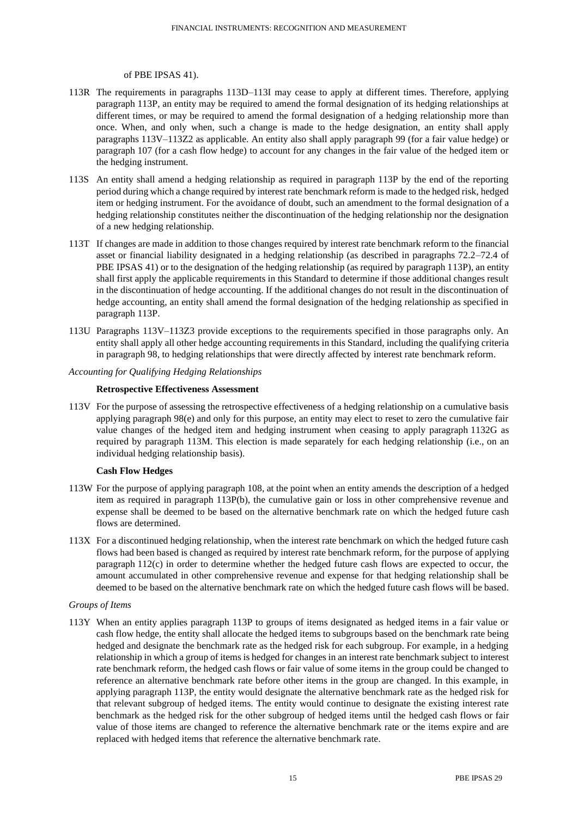#### of PBE IPSAS 41).

- 113R The requirements in paragraphs 113D–113I may cease to apply at different times. Therefore, applying paragraph 113P, an entity may be required to amend the formal designation of its hedging relationships at different times, or may be required to amend the formal designation of a hedging relationship more than once. When, and only when, such a change is made to the hedge designation, an entity shall apply paragraphs 113V–113Z2 as applicable. An entity also shall apply paragraph 99 (for a fair value hedge) or paragraph 107 (for a cash flow hedge) to account for any changes in the fair value of the hedged item or the hedging instrument.
- 113S An entity shall amend a hedging relationship as required in paragraph 113P by the end of the reporting period during which a change required by interest rate benchmark reform is made to the hedged risk, hedged item or hedging instrument. For the avoidance of doubt, such an amendment to the formal designation of a hedging relationship constitutes neither the discontinuation of the hedging relationship nor the designation of a new hedging relationship.
- 113T If changes are made in addition to those changes required by interest rate benchmark reform to the financial asset or financial liability designated in a hedging relationship (as described in paragraphs 72.2–72.4 of PBE IPSAS 41) or to the designation of the hedging relationship (as required by paragraph 113P), an entity shall first apply the applicable requirements in this Standard to determine if those additional changes result in the discontinuation of hedge accounting. If the additional changes do not result in the discontinuation of hedge accounting, an entity shall amend the formal designation of the hedging relationship as specified in paragraph 113P.
- 113U Paragraphs 113V–113Z3 provide exceptions to the requirements specified in those paragraphs only. An entity shall apply all other hedge accounting requirements in this Standard, including the qualifying criteria in paragraph 98, to hedging relationships that were directly affected by interest rate benchmark reform.
- *Accounting for Qualifying Hedging Relationships*

#### **Retrospective Effectiveness Assessment**

113V For the purpose of assessing the retrospective effectiveness of a hedging relationship on a cumulative basis applying paragraph 98(e) and only for this purpose, an entity may elect to reset to zero the cumulative fair value changes of the hedged item and hedging instrument when ceasing to apply paragraph 1132G as required by paragraph 113M. This election is made separately for each hedging relationship (i.e., on an individual hedging relationship basis).

## **Cash Flow Hedges**

- 113W For the purpose of applying paragraph 108, at the point when an entity amends the description of a hedged item as required in paragraph 113P(b), the cumulative gain or loss in other comprehensive revenue and expense shall be deemed to be based on the alternative benchmark rate on which the hedged future cash flows are determined.
- 113X For a discontinued hedging relationship, when the interest rate benchmark on which the hedged future cash flows had been based is changed as required by interest rate benchmark reform, for the purpose of applying paragraph 112(c) in order to determine whether the hedged future cash flows are expected to occur, the amount accumulated in other comprehensive revenue and expense for that hedging relationship shall be deemed to be based on the alternative benchmark rate on which the hedged future cash flows will be based.

## *Groups of Items*

113Y When an entity applies paragraph 113P to groups of items designated as hedged items in a fair value or cash flow hedge, the entity shall allocate the hedged items to subgroups based on the benchmark rate being hedged and designate the benchmark rate as the hedged risk for each subgroup. For example, in a hedging relationship in which a group of items is hedged for changes in an interest rate benchmark subject to interest rate benchmark reform, the hedged cash flows or fair value of some items in the group could be changed to reference an alternative benchmark rate before other items in the group are changed. In this example, in applying paragraph 113P, the entity would designate the alternative benchmark rate as the hedged risk for that relevant subgroup of hedged items. The entity would continue to designate the existing interest rate benchmark as the hedged risk for the other subgroup of hedged items until the hedged cash flows or fair value of those items are changed to reference the alternative benchmark rate or the items expire and are replaced with hedged items that reference the alternative benchmark rate.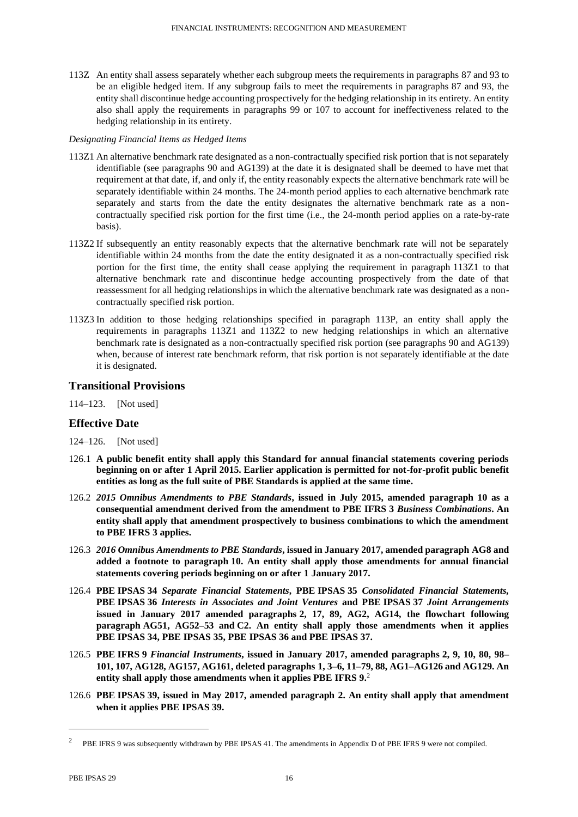113Z An entity shall assess separately whether each subgroup meets the requirements in paragraphs 87 and 93 to be an eligible hedged item. If any subgroup fails to meet the requirements in paragraphs 87 and 93, the entity shall discontinue hedge accounting prospectively for the hedging relationship in its entirety. An entity also shall apply the requirements in paragraphs 99 or 107 to account for ineffectiveness related to the hedging relationship in its entirety.

#### *Designating Financial Items as Hedged Items*

- 113Z1 An alternative benchmark rate designated as a non-contractually specified risk portion that is not separately identifiable (see paragraphs 90 and AG139) at the date it is designated shall be deemed to have met that requirement at that date, if, and only if, the entity reasonably expects the alternative benchmark rate will be separately identifiable within 24 months. The 24-month period applies to each alternative benchmark rate separately and starts from the date the entity designates the alternative benchmark rate as a noncontractually specified risk portion for the first time (i.e., the 24-month period applies on a rate-by-rate basis).
- 113Z2 If subsequently an entity reasonably expects that the alternative benchmark rate will not be separately identifiable within 24 months from the date the entity designated it as a non-contractually specified risk portion for the first time, the entity shall cease applying the requirement in paragraph 113Z1 to that alternative benchmark rate and discontinue hedge accounting prospectively from the date of that reassessment for all hedging relationships in which the alternative benchmark rate was designated as a noncontractually specified risk portion.
- 113Z3 In addition to those hedging relationships specified in paragraph 113P, an entity shall apply the requirements in paragraphs 113Z1 and 113Z2 to new hedging relationships in which an alternative benchmark rate is designated as a non-contractually specified risk portion (see paragraphs 90 and AG139) when, because of interest rate benchmark reform, that risk portion is not separately identifiable at the date it is designated.

# **Transitional Provisions**

114–123. [Not used]

## **Effective Date**

- 124–126. [Not used]
- 126.1 **A public benefit entity shall apply this Standard for annual financial statements covering periods beginning on or after 1 April 2015. Earlier application is permitted for not-for-profit public benefit entities as long as the full suite of PBE Standards is applied at the same time.**
- 126.2 *2015 Omnibus Amendments to PBE Standards***, issued in July 2015, amended paragraph 10 as a consequential amendment derived from the amendment to PBE IFRS 3** *Business Combinations***. An entity shall apply that amendment prospectively to business combinations to which the amendment to PBE IFRS 3 applies.**
- 126.3 *2016 Omnibus Amendments to PBE Standards***, issued in January 2017, amended paragraph AG8 and added a footnote to paragraph 10. An entity shall apply those amendments for annual financial statements covering periods beginning on or after 1 January 2017.**
- 126.4 **PBE IPSAS 34** *Separate Financial Statements***, PBE IPSAS 35** *Consolidated Financial Statements,*  **PBE IPSAS 36** *Interests in Associates and Joint Ventures* **and PBE IPSAS 37** *Joint Arrangements* **issued in January 2017 amended paragraphs 2, 17, 89, AG2, AG14, the flowchart following paragraph AG51, AG52–53 and C2. An entity shall apply those amendments when it applies PBE IPSAS 34, PBE IPSAS 35, PBE IPSAS 36 and PBE IPSAS 37.**
- 126.5 **PBE IFRS 9** *Financial Instruments***, issued in January 2017, amended paragraphs 2, 9, 10, 80, 98– 101, 107, AG128, AG157, AG161, deleted paragraphs 1, 3–6, 11–79, 88, AG1–AG126 and AG129. An entity shall apply those amendments when it applies PBE IFRS 9.** 2
- 126.6 **PBE IPSAS 39, issued in May 2017, amended paragraph 2. An entity shall apply that amendment when it applies PBE IPSAS 39.**

<sup>2</sup> PBE IFRS 9 was subsequently withdrawn by PBE IPSAS 41. The amendments in Appendix D of PBE IFRS 9 were not compiled.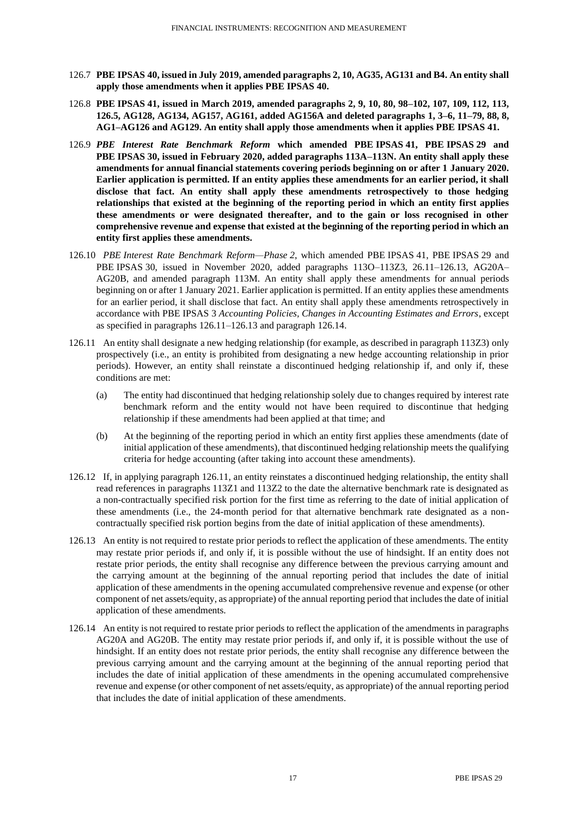- 126.7 **PBE IPSAS 40, issued in July 2019, amended paragraphs 2, 10, AG35, AG131 and B4. An entity shall apply those amendments when it applies PBE IPSAS 40.**
- 126.8 **PBE IPSAS 41, issued in March 2019, amended paragraphs 2, 9, 10, 80, 98–102, 107, 109, 112, 113, 126.5, AG128, AG134, AG157, AG161, added AG156A and deleted paragraphs 1, 3–6, 11–79, 88, 8, AG1–AG126 and AG129. An entity shall apply those amendments when it applies PBE IPSAS 41.**
- 126.9 *PBE Interest Rate Benchmark Reform* **which amended PBE IPSAS 41, PBE IPSAS 29 and PBE IPSAS 30, issued in February 2020, added paragraphs 113A–113N. An entity shall apply these amendments for annual financial statements covering periods beginning on or after 1 January 2020. Earlier application is permitted. If an entity applies these amendments for an earlier period, it shall disclose that fact. An entity shall apply these amendments retrospectively to those hedging relationships that existed at the beginning of the reporting period in which an entity first applies these amendments or were designated thereafter, and to the gain or loss recognised in other comprehensive revenue and expense that existed at the beginning of the reporting period in which an entity first applies these amendments.**
- 126.10 *PBE Interest Rate Benchmark Reform—Phase 2*, which amended PBE IPSAS 41, PBE IPSAS 29 and PBE IPSAS 30, issued in November 2020, added paragraphs 113O–113Z3, 26.11–126.13, AG20A– AG20B, and amended paragraph 113M. An entity shall apply these amendments for annual periods beginning on or after 1 January 2021. Earlier application is permitted. If an entity applies these amendments for an earlier period, it shall disclose that fact. An entity shall apply these amendments retrospectively in accordance with PBE IPSAS 3 *Accounting Policies, Changes in Accounting Estimates and Errors*, except as specified in paragraphs 126.11–126.13 and paragraph 126.14.
- 126.11 An entity shall designate a new hedging relationship (for example, as described in paragraph 113Z3) only prospectively (i.e., an entity is prohibited from designating a new hedge accounting relationship in prior periods). However, an entity shall reinstate a discontinued hedging relationship if, and only if, these conditions are met:
	- (a) The entity had discontinued that hedging relationship solely due to changes required by interest rate benchmark reform and the entity would not have been required to discontinue that hedging relationship if these amendments had been applied at that time; and
	- (b) At the beginning of the reporting period in which an entity first applies these amendments (date of initial application of these amendments), that discontinued hedging relationship meets the qualifying criteria for hedge accounting (after taking into account these amendments).
- 126.12 If, in applying paragraph 126.11, an entity reinstates a discontinued hedging relationship, the entity shall read references in paragraphs 113Z1 and 113Z2 to the date the alternative benchmark rate is designated as a non-contractually specified risk portion for the first time as referring to the date of initial application of these amendments (i.e., the 24-month period for that alternative benchmark rate designated as a noncontractually specified risk portion begins from the date of initial application of these amendments).
- 126.13 An entity is not required to restate prior periods to reflect the application of these amendments. The entity may restate prior periods if, and only if, it is possible without the use of hindsight. If an entity does not restate prior periods, the entity shall recognise any difference between the previous carrying amount and the carrying amount at the beginning of the annual reporting period that includes the date of initial application of these amendments in the opening accumulated comprehensive revenue and expense (or other component of net assets/equity, as appropriate) of the annual reporting period that includes the date of initial application of these amendments.
- 126.14 An entity is not required to restate prior periods to reflect the application of the amendments in paragraphs AG20A and AG20B. The entity may restate prior periods if, and only if, it is possible without the use of hindsight. If an entity does not restate prior periods, the entity shall recognise any difference between the previous carrying amount and the carrying amount at the beginning of the annual reporting period that includes the date of initial application of these amendments in the opening accumulated comprehensive revenue and expense (or other component of net assets/equity, as appropriate) of the annual reporting period that includes the date of initial application of these amendments.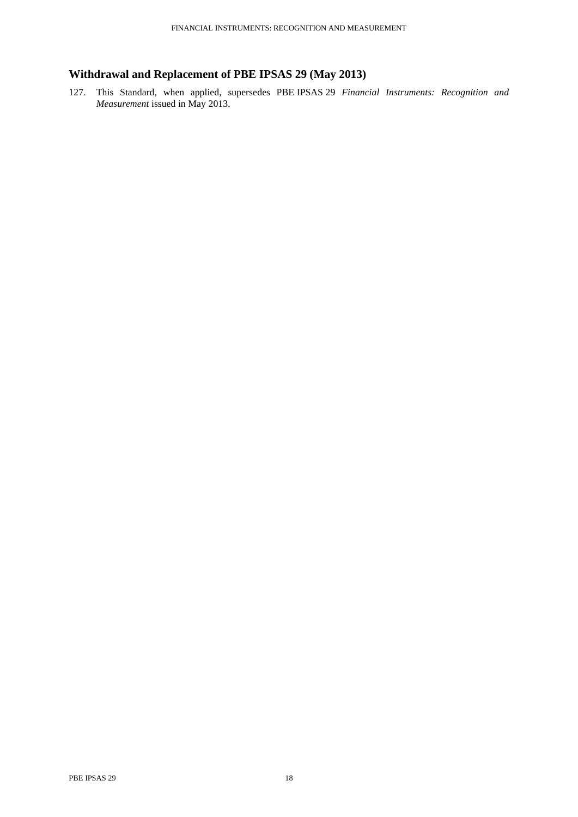# **Withdrawal and Replacement of PBE IPSAS 29 (May 2013)**

127. This Standard, when applied, supersedes PBE IPSAS 29 *Financial Instruments: Recognition and Measurement* issued in May 2013.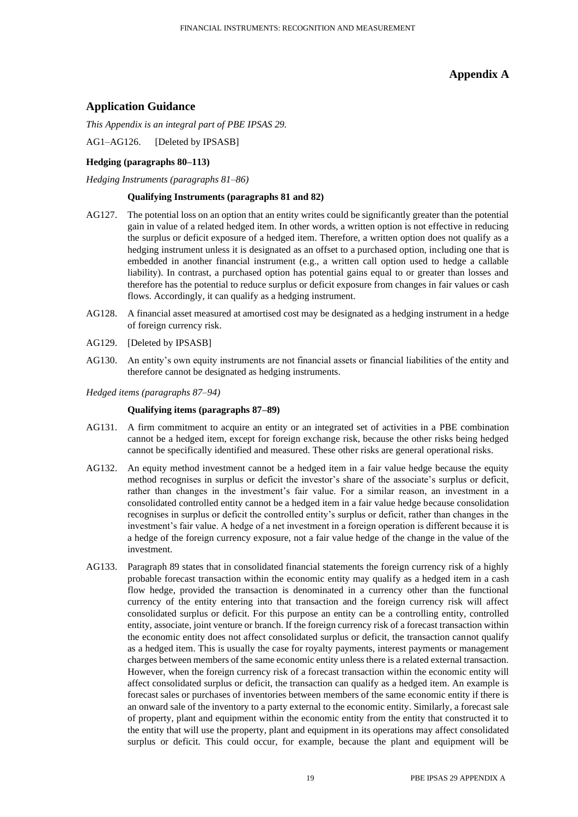# **Appendix A**

# **Application Guidance**

*This Appendix is an integral part of PBE IPSAS 29.* 

AG1–AG126. [Deleted by IPSASB]

## **Hedging (paragraphs 80–113)**

*Hedging Instruments (paragraphs 81–86)* 

## **Qualifying Instruments (paragraphs 81 and 82)**

- AG127. The potential loss on an option that an entity writes could be significantly greater than the potential gain in value of a related hedged item. In other words, a written option is not effective in reducing the surplus or deficit exposure of a hedged item. Therefore, a written option does not qualify as a hedging instrument unless it is designated as an offset to a purchased option, including one that is embedded in another financial instrument (e.g., a written call option used to hedge a callable liability). In contrast, a purchased option has potential gains equal to or greater than losses and therefore has the potential to reduce surplus or deficit exposure from changes in fair values or cash flows. Accordingly, it can qualify as a hedging instrument.
- AG128. A financial asset measured at amortised cost may be designated as a hedging instrument in a hedge of foreign currency risk.
- AG129. [Deleted by IPSASB]
- AG130. An entity's own equity instruments are not financial assets or financial liabilities of the entity and therefore cannot be designated as hedging instruments.
- *Hedged items (paragraphs 87–94)*

## **Qualifying items (paragraphs 87–89)**

- AG131. A firm commitment to acquire an entity or an integrated set of activities in a PBE combination cannot be a hedged item, except for foreign exchange risk, because the other risks being hedged cannot be specifically identified and measured. These other risks are general operational risks.
- AG132. An equity method investment cannot be a hedged item in a fair value hedge because the equity method recognises in surplus or deficit the investor's share of the associate's surplus or deficit, rather than changes in the investment's fair value. For a similar reason, an investment in a consolidated controlled entity cannot be a hedged item in a fair value hedge because consolidation recognises in surplus or deficit the controlled entity's surplus or deficit, rather than changes in the investment's fair value. A hedge of a net investment in a foreign operation is different because it is a hedge of the foreign currency exposure, not a fair value hedge of the change in the value of the investment.
- AG133. Paragraph 89 states that in consolidated financial statements the foreign currency risk of a highly probable forecast transaction within the economic entity may qualify as a hedged item in a cash flow hedge, provided the transaction is denominated in a currency other than the functional currency of the entity entering into that transaction and the foreign currency risk will affect consolidated surplus or deficit. For this purpose an entity can be a controlling entity, controlled entity, associate, joint venture or branch. If the foreign currency risk of a forecast transaction within the economic entity does not affect consolidated surplus or deficit, the transaction cannot qualify as a hedged item. This is usually the case for royalty payments, interest payments or management charges between members of the same economic entity unless there is a related external transaction. However, when the foreign currency risk of a forecast transaction within the economic entity will affect consolidated surplus or deficit, the transaction can qualify as a hedged item. An example is forecast sales or purchases of inventories between members of the same economic entity if there is an onward sale of the inventory to a party external to the economic entity. Similarly, a forecast sale of property, plant and equipment within the economic entity from the entity that constructed it to the entity that will use the property, plant and equipment in its operations may affect consolidated surplus or deficit. This could occur, for example, because the plant and equipment will be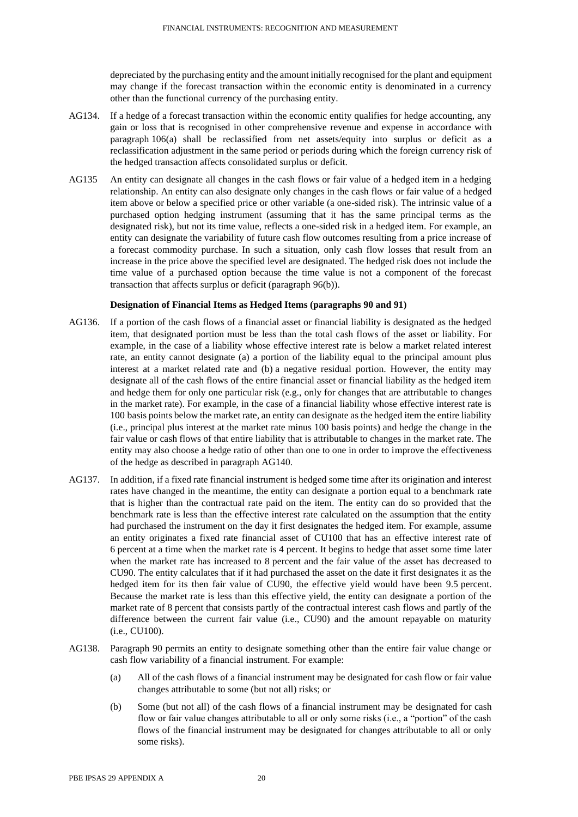depreciated by the purchasing entity and the amount initially recognised for the plant and equipment may change if the forecast transaction within the economic entity is denominated in a currency other than the functional currency of the purchasing entity.

- AG134. If a hedge of a forecast transaction within the economic entity qualifies for hedge accounting, any gain or loss that is recognised in other comprehensive revenue and expense in accordance with paragraph 106(a) shall be reclassified from net assets/equity into surplus or deficit as a reclassification adjustment in the same period or periods during which the foreign currency risk of the hedged transaction affects consolidated surplus or deficit.
- AG135 An entity can designate all changes in the cash flows or fair value of a hedged item in a hedging relationship. An entity can also designate only changes in the cash flows or fair value of a hedged item above or below a specified price or other variable (a one-sided risk). The intrinsic value of a purchased option hedging instrument (assuming that it has the same principal terms as the designated risk), but not its time value, reflects a one-sided risk in a hedged item. For example, an entity can designate the variability of future cash flow outcomes resulting from a price increase of a forecast commodity purchase. In such a situation, only cash flow losses that result from an increase in the price above the specified level are designated. The hedged risk does not include the time value of a purchased option because the time value is not a component of the forecast transaction that affects surplus or deficit (paragraph 96(b)).

#### **Designation of Financial Items as Hedged Items (paragraphs 90 and 91)**

- AG136. If a portion of the cash flows of a financial asset or financial liability is designated as the hedged item, that designated portion must be less than the total cash flows of the asset or liability. For example, in the case of a liability whose effective interest rate is below a market related interest rate, an entity cannot designate (a) a portion of the liability equal to the principal amount plus interest at a market related rate and (b) a negative residual portion. However, the entity may designate all of the cash flows of the entire financial asset or financial liability as the hedged item and hedge them for only one particular risk (e.g., only for changes that are attributable to changes in the market rate). For example, in the case of a financial liability whose effective interest rate is 100 basis points below the market rate, an entity can designate as the hedged item the entire liability (i.e., principal plus interest at the market rate minus 100 basis points) and hedge the change in the fair value or cash flows of that entire liability that is attributable to changes in the market rate. The entity may also choose a hedge ratio of other than one to one in order to improve the effectiveness of the hedge as described in paragraph AG140.
- AG137. In addition, if a fixed rate financial instrument is hedged some time after its origination and interest rates have changed in the meantime, the entity can designate a portion equal to a benchmark rate that is higher than the contractual rate paid on the item. The entity can do so provided that the benchmark rate is less than the effective interest rate calculated on the assumption that the entity had purchased the instrument on the day it first designates the hedged item. For example, assume an entity originates a fixed rate financial asset of CU100 that has an effective interest rate of 6 percent at a time when the market rate is 4 percent. It begins to hedge that asset some time later when the market rate has increased to 8 percent and the fair value of the asset has decreased to CU90. The entity calculates that if it had purchased the asset on the date it first designates it as the hedged item for its then fair value of CU90, the effective yield would have been 9.5 percent. Because the market rate is less than this effective yield, the entity can designate a portion of the market rate of 8 percent that consists partly of the contractual interest cash flows and partly of the difference between the current fair value (i.e., CU90) and the amount repayable on maturity (i.e., CU100).
- AG138. Paragraph 90 permits an entity to designate something other than the entire fair value change or cash flow variability of a financial instrument. For example:
	- (a) All of the cash flows of a financial instrument may be designated for cash flow or fair value changes attributable to some (but not all) risks; or
	- (b) Some (but not all) of the cash flows of a financial instrument may be designated for cash flow or fair value changes attributable to all or only some risks (i.e., a "portion" of the cash flows of the financial instrument may be designated for changes attributable to all or only some risks).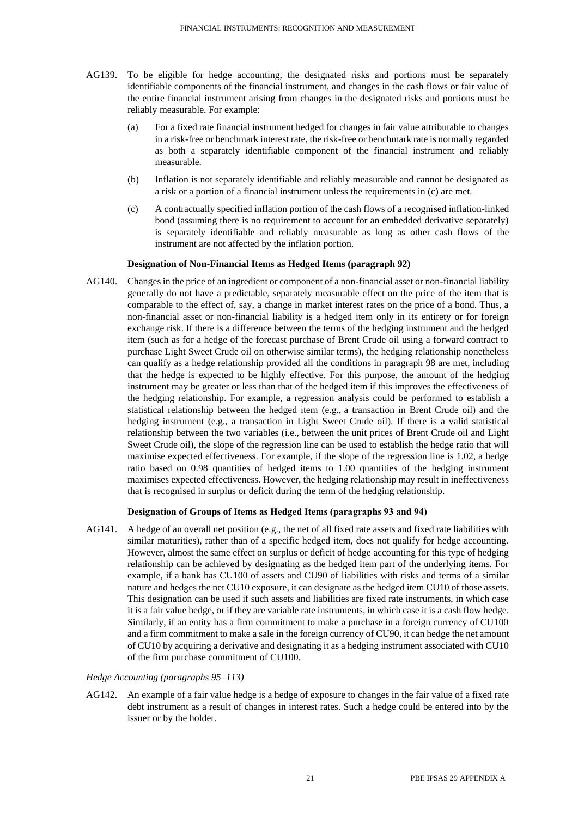- AG139. To be eligible for hedge accounting, the designated risks and portions must be separately identifiable components of the financial instrument, and changes in the cash flows or fair value of the entire financial instrument arising from changes in the designated risks and portions must be reliably measurable. For example:
	- (a) For a fixed rate financial instrument hedged for changes in fair value attributable to changes in a risk-free or benchmark interest rate, the risk-free or benchmark rate is normally regarded as both a separately identifiable component of the financial instrument and reliably measurable.
	- (b) Inflation is not separately identifiable and reliably measurable and cannot be designated as a risk or a portion of a financial instrument unless the requirements in (c) are met.
	- (c) A contractually specified inflation portion of the cash flows of a recognised inflation-linked bond (assuming there is no requirement to account for an embedded derivative separately) is separately identifiable and reliably measurable as long as other cash flows of the instrument are not affected by the inflation portion.

#### **Designation of Non-Financial Items as Hedged Items (paragraph 92)**

AG140. Changes in the price of an ingredient or component of a non-financial asset or non-financial liability generally do not have a predictable, separately measurable effect on the price of the item that is comparable to the effect of, say, a change in market interest rates on the price of a bond. Thus, a non-financial asset or non-financial liability is a hedged item only in its entirety or for foreign exchange risk. If there is a difference between the terms of the hedging instrument and the hedged item (such as for a hedge of the forecast purchase of Brent Crude oil using a forward contract to purchase Light Sweet Crude oil on otherwise similar terms), the hedging relationship nonetheless can qualify as a hedge relationship provided all the conditions in paragraph 98 are met, including that the hedge is expected to be highly effective. For this purpose, the amount of the hedging instrument may be greater or less than that of the hedged item if this improves the effectiveness of the hedging relationship. For example, a regression analysis could be performed to establish a statistical relationship between the hedged item (e.g., a transaction in Brent Crude oil) and the hedging instrument (e.g., a transaction in Light Sweet Crude oil). If there is a valid statistical relationship between the two variables (i.e., between the unit prices of Brent Crude oil and Light Sweet Crude oil), the slope of the regression line can be used to establish the hedge ratio that will maximise expected effectiveness. For example, if the slope of the regression line is 1.02, a hedge ratio based on 0.98 quantities of hedged items to 1.00 quantities of the hedging instrument maximises expected effectiveness. However, the hedging relationship may result in ineffectiveness that is recognised in surplus or deficit during the term of the hedging relationship.

## **Designation of Groups of Items as Hedged Items (paragraphs 93 and 94)**

AG141. A hedge of an overall net position (e.g., the net of all fixed rate assets and fixed rate liabilities with similar maturities), rather than of a specific hedged item, does not qualify for hedge accounting. However, almost the same effect on surplus or deficit of hedge accounting for this type of hedging relationship can be achieved by designating as the hedged item part of the underlying items. For example, if a bank has CU100 of assets and CU90 of liabilities with risks and terms of a similar nature and hedges the net CU10 exposure, it can designate as the hedged item CU10 of those assets. This designation can be used if such assets and liabilities are fixed rate instruments, in which case it is a fair value hedge, or if they are variable rate instruments, in which case it is a cash flow hedge. Similarly, if an entity has a firm commitment to make a purchase in a foreign currency of CU100 and a firm commitment to make a sale in the foreign currency of CU90, it can hedge the net amount of CU10 by acquiring a derivative and designating it as a hedging instrument associated with CU10 of the firm purchase commitment of CU100.

## *Hedge Accounting (paragraphs 95–113)*

AG142. An example of a fair value hedge is a hedge of exposure to changes in the fair value of a fixed rate debt instrument as a result of changes in interest rates. Such a hedge could be entered into by the issuer or by the holder.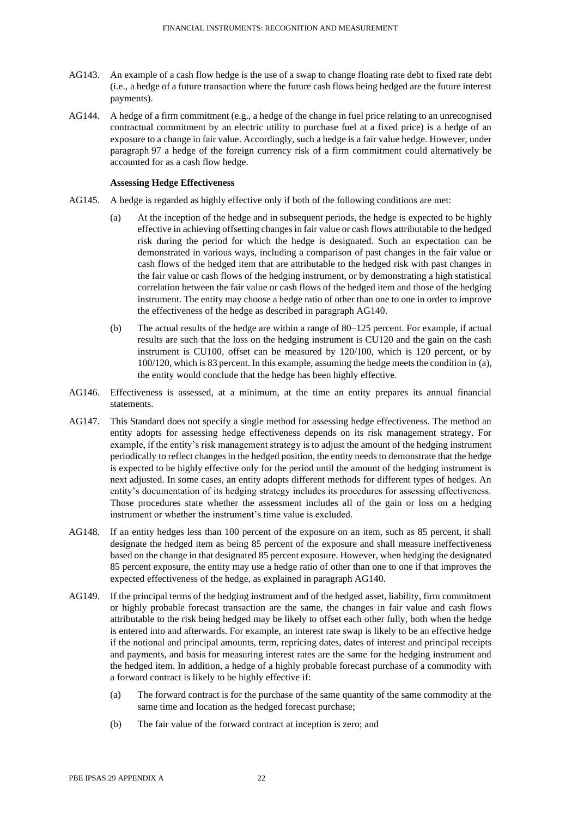- AG143. An example of a cash flow hedge is the use of a swap to change floating rate debt to fixed rate debt (i.e., a hedge of a future transaction where the future cash flows being hedged are the future interest payments).
- AG144. A hedge of a firm commitment (e.g., a hedge of the change in fuel price relating to an unrecognised contractual commitment by an electric utility to purchase fuel at a fixed price) is a hedge of an exposure to a change in fair value. Accordingly, such a hedge is a fair value hedge. However, under paragraph 97 a hedge of the foreign currency risk of a firm commitment could alternatively be accounted for as a cash flow hedge.

#### **Assessing Hedge Effectiveness**

- AG145. A hedge is regarded as highly effective only if both of the following conditions are met:
	- (a) At the inception of the hedge and in subsequent periods, the hedge is expected to be highly effective in achieving offsetting changes in fair value or cash flows attributable to the hedged risk during the period for which the hedge is designated. Such an expectation can be demonstrated in various ways, including a comparison of past changes in the fair value or cash flows of the hedged item that are attributable to the hedged risk with past changes in the fair value or cash flows of the hedging instrument, or by demonstrating a high statistical correlation between the fair value or cash flows of the hedged item and those of the hedging instrument. The entity may choose a hedge ratio of other than one to one in order to improve the effectiveness of the hedge as described in paragraph AG140.
	- (b) The actual results of the hedge are within a range of 80–125 percent. For example, if actual results are such that the loss on the hedging instrument is CU120 and the gain on the cash instrument is CU100, offset can be measured by 120/100, which is 120 percent, or by 100/120, which is 83 percent. In this example, assuming the hedge meets the condition in (a), the entity would conclude that the hedge has been highly effective.
- AG146. Effectiveness is assessed, at a minimum, at the time an entity prepares its annual financial statements.
- AG147. This Standard does not specify a single method for assessing hedge effectiveness. The method an entity adopts for assessing hedge effectiveness depends on its risk management strategy. For example, if the entity's risk management strategy is to adjust the amount of the hedging instrument periodically to reflect changes in the hedged position, the entity needs to demonstrate that the hedge is expected to be highly effective only for the period until the amount of the hedging instrument is next adjusted. In some cases, an entity adopts different methods for different types of hedges. An entity's documentation of its hedging strategy includes its procedures for assessing effectiveness. Those procedures state whether the assessment includes all of the gain or loss on a hedging instrument or whether the instrument's time value is excluded.
- AG148. If an entity hedges less than 100 percent of the exposure on an item, such as 85 percent, it shall designate the hedged item as being 85 percent of the exposure and shall measure ineffectiveness based on the change in that designated 85 percent exposure. However, when hedging the designated 85 percent exposure, the entity may use a hedge ratio of other than one to one if that improves the expected effectiveness of the hedge, as explained in paragraph AG140.
- AG149. If the principal terms of the hedging instrument and of the hedged asset, liability, firm commitment or highly probable forecast transaction are the same, the changes in fair value and cash flows attributable to the risk being hedged may be likely to offset each other fully, both when the hedge is entered into and afterwards. For example, an interest rate swap is likely to be an effective hedge if the notional and principal amounts, term, repricing dates, dates of interest and principal receipts and payments, and basis for measuring interest rates are the same for the hedging instrument and the hedged item. In addition, a hedge of a highly probable forecast purchase of a commodity with a forward contract is likely to be highly effective if:
	- (a) The forward contract is for the purchase of the same quantity of the same commodity at the same time and location as the hedged forecast purchase;
	- (b) The fair value of the forward contract at inception is zero; and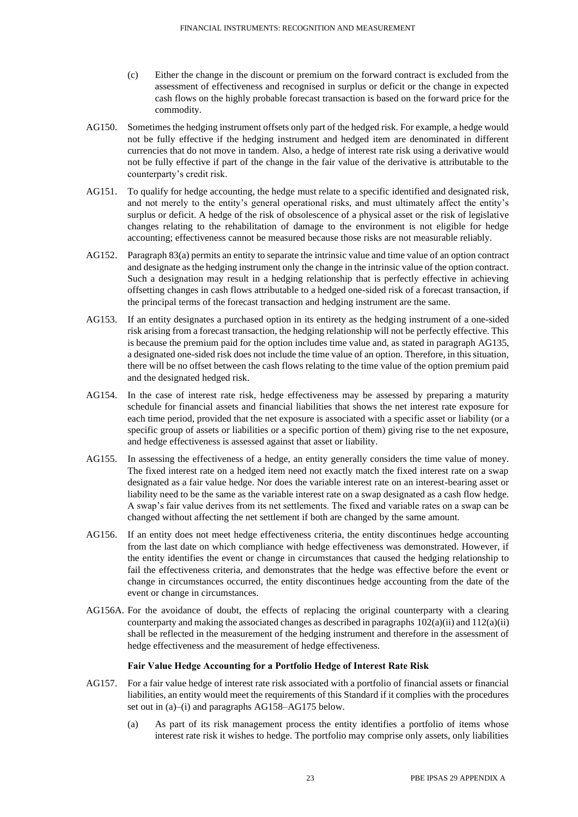- (c) Either the change in the discount or premium on the forward contract is excluded from the assessment of effectiveness and recognised in surplus or deficit or the change in expected cash flows on the highly probable forecast transaction is based on the forward price for the commodity.
- AG150. Sometimes the hedging instrument offsets only part of the hedged risk. For example, a hedge would not be fully effective if the hedging instrument and hedged item are denominated in different currencies that do not move in tandem. Also, a hedge of interest rate risk using a derivative would not be fully effective if part of the change in the fair value of the derivative is attributable to the counterparty's credit risk.
- AG151. To qualify for hedge accounting, the hedge must relate to a specific identified and designated risk, and not merely to the entity's general operational risks, and must ultimately affect the entity's surplus or deficit. A hedge of the risk of obsolescence of a physical asset or the risk of legislative changes relating to the rehabilitation of damage to the environment is not eligible for hedge accounting; effectiveness cannot be measured because those risks are not measurable reliably.
- AG152. Paragraph 83(a) permits an entity to separate the intrinsic value and time value of an option contract and designate as the hedging instrument only the change in the intrinsic value of the option contract. Such a designation may result in a hedging relationship that is perfectly effective in achieving offsetting changes in cash flows attributable to a hedged one-sided risk of a forecast transaction, if the principal terms of the forecast transaction and hedging instrument are the same.
- AG153. If an entity designates a purchased option in its entirety as the hedging instrument of a one-sided risk arising from a forecast transaction, the hedging relationship will not be perfectly effective. This is because the premium paid for the option includes time value and, as stated in paragraph AG135, a designated one-sided risk does not include the time value of an option. Therefore, in this situation, there will be no offset between the cash flows relating to the time value of the option premium paid and the designated hedged risk.
- AG154. In the case of interest rate risk, hedge effectiveness may be assessed by preparing a maturity schedule for financial assets and financial liabilities that shows the net interest rate exposure for each time period, provided that the net exposure is associated with a specific asset or liability (or a specific group of assets or liabilities or a specific portion of them) giving rise to the net exposure, and hedge effectiveness is assessed against that asset or liability.
- AG155. In assessing the effectiveness of a hedge, an entity generally considers the time value of money. The fixed interest rate on a hedged item need not exactly match the fixed interest rate on a swap designated as a fair value hedge. Nor does the variable interest rate on an interest-bearing asset or liability need to be the same as the variable interest rate on a swap designated as a cash flow hedge. A swap's fair value derives from its net settlements. The fixed and variable rates on a swap can be changed without affecting the net settlement if both are changed by the same amount.
- AG156. If an entity does not meet hedge effectiveness criteria, the entity discontinues hedge accounting from the last date on which compliance with hedge effectiveness was demonstrated. However, if the entity identifies the event or change in circumstances that caused the hedging relationship to fail the effectiveness criteria, and demonstrates that the hedge was effective before the event or change in circumstances occurred, the entity discontinues hedge accounting from the date of the event or change in circumstances.
- AG156A. For the avoidance of doubt, the effects of replacing the original counterparty with a clearing counterparty and making the associated changes as described in paragraphs  $102(a)(ii)$  and  $112(a)(ii)$ shall be reflected in the measurement of the hedging instrument and therefore in the assessment of hedge effectiveness and the measurement of hedge effectiveness.

#### **Fair Value Hedge Accounting for a Portfolio Hedge of Interest Rate Risk**

- AG157. For a fair value hedge of interest rate risk associated with a portfolio of financial assets or financial liabilities, an entity would meet the requirements of this Standard if it complies with the procedures set out in (a)–(i) and paragraphs AG158–AG175 below.
	- (a) As part of its risk management process the entity identifies a portfolio of items whose interest rate risk it wishes to hedge. The portfolio may comprise only assets, only liabilities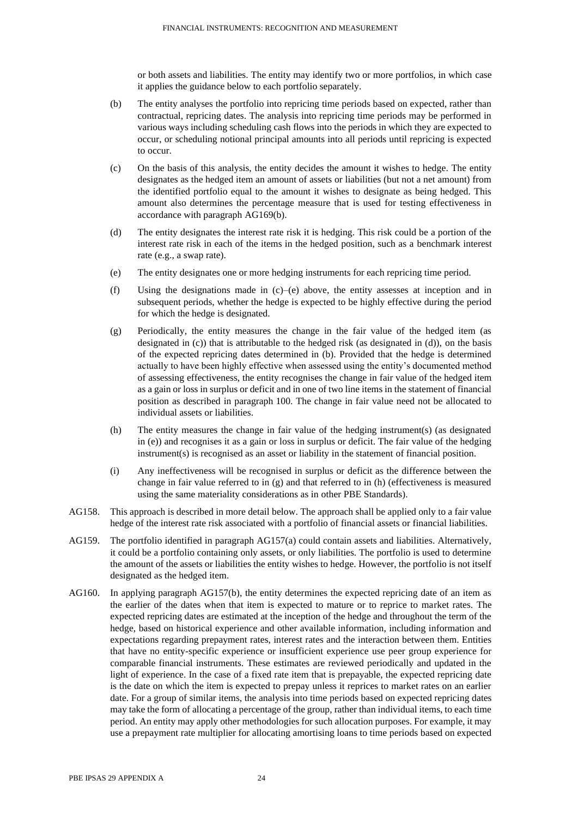or both assets and liabilities. The entity may identify two or more portfolios, in which case it applies the guidance below to each portfolio separately.

- (b) The entity analyses the portfolio into repricing time periods based on expected, rather than contractual, repricing dates. The analysis into repricing time periods may be performed in various ways including scheduling cash flows into the periods in which they are expected to occur, or scheduling notional principal amounts into all periods until repricing is expected to occur.
- (c) On the basis of this analysis, the entity decides the amount it wishes to hedge. The entity designates as the hedged item an amount of assets or liabilities (but not a net amount) from the identified portfolio equal to the amount it wishes to designate as being hedged. This amount also determines the percentage measure that is used for testing effectiveness in accordance with paragraph AG169(b).
- (d) The entity designates the interest rate risk it is hedging. This risk could be a portion of the interest rate risk in each of the items in the hedged position, such as a benchmark interest rate (e.g., a swap rate).
- (e) The entity designates one or more hedging instruments for each repricing time period.
- (f) Using the designations made in  $(c)$ –(e) above, the entity assesses at inception and in subsequent periods, whether the hedge is expected to be highly effective during the period for which the hedge is designated.
- (g) Periodically, the entity measures the change in the fair value of the hedged item (as designated in (c)) that is attributable to the hedged risk (as designated in (d)), on the basis of the expected repricing dates determined in (b). Provided that the hedge is determined actually to have been highly effective when assessed using the entity's documented method of assessing effectiveness, the entity recognises the change in fair value of the hedged item as a gain or loss in surplus or deficit and in one of two line items in the statement of financial position as described in paragraph 100. The change in fair value need not be allocated to individual assets or liabilities.
- (h) The entity measures the change in fair value of the hedging instrument(s) (as designated in (e)) and recognises it as a gain or loss in surplus or deficit. The fair value of the hedging instrument(s) is recognised as an asset or liability in the statement of financial position.
- (i) Any ineffectiveness will be recognised in surplus or deficit as the difference between the change in fair value referred to in (g) and that referred to in (h) (effectiveness is measured using the same materiality considerations as in other PBE Standards).
- AG158. This approach is described in more detail below. The approach shall be applied only to a fair value hedge of the interest rate risk associated with a portfolio of financial assets or financial liabilities.
- AG159. The portfolio identified in paragraph AG157(a) could contain assets and liabilities. Alternatively, it could be a portfolio containing only assets, or only liabilities. The portfolio is used to determine the amount of the assets or liabilities the entity wishes to hedge. However, the portfolio is not itself designated as the hedged item.
- AG160. In applying paragraph AG157(b), the entity determines the expected repricing date of an item as the earlier of the dates when that item is expected to mature or to reprice to market rates. The expected repricing dates are estimated at the inception of the hedge and throughout the term of the hedge, based on historical experience and other available information, including information and expectations regarding prepayment rates, interest rates and the interaction between them. Entities that have no entity-specific experience or insufficient experience use peer group experience for comparable financial instruments. These estimates are reviewed periodically and updated in the light of experience. In the case of a fixed rate item that is prepayable, the expected repricing date is the date on which the item is expected to prepay unless it reprices to market rates on an earlier date. For a group of similar items, the analysis into time periods based on expected repricing dates may take the form of allocating a percentage of the group, rather than individual items, to each time period. An entity may apply other methodologies for such allocation purposes. For example, it may use a prepayment rate multiplier for allocating amortising loans to time periods based on expected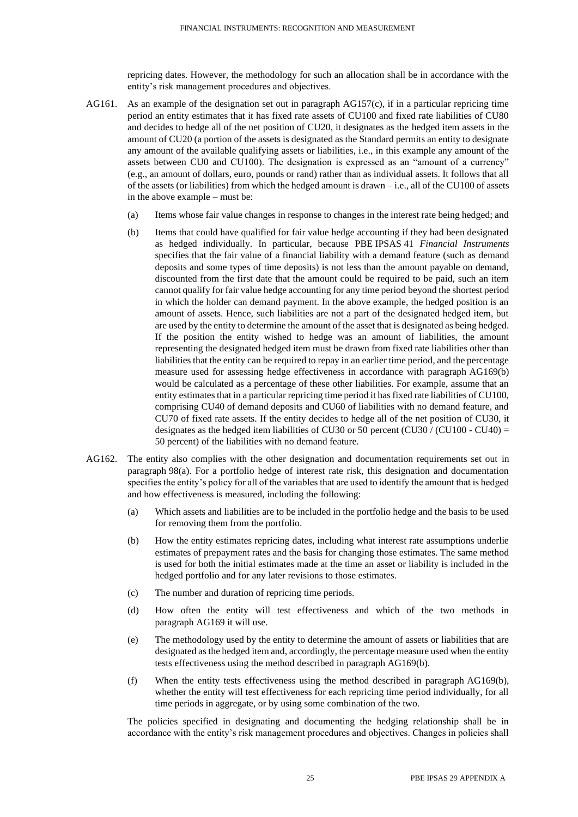repricing dates. However, the methodology for such an allocation shall be in accordance with the entity's risk management procedures and objectives.

- AG161. As an example of the designation set out in paragraph  $AG157(c)$ , if in a particular repricing time period an entity estimates that it has fixed rate assets of CU100 and fixed rate liabilities of CU80 and decides to hedge all of the net position of CU20, it designates as the hedged item assets in the amount of CU20 (a portion of the assets is designated as the Standard permits an entity to designate any amount of the available qualifying assets or liabilities, i.e., in this example any amount of the assets between CU0 and CU100). The designation is expressed as an "amount of a currency" (e.g., an amount of dollars, euro, pounds or rand) rather than as individual assets. It follows that all of the assets (or liabilities) from which the hedged amount is drawn – i.e., all of the CU100 of assets in the above example – must be:
	- (a) Items whose fair value changes in response to changes in the interest rate being hedged; and
	- (b) Items that could have qualified for fair value hedge accounting if they had been designated as hedged individually. In particular, because PBE IPSAS 41 *Financial Instruments* specifies that the fair value of a financial liability with a demand feature (such as demand deposits and some types of time deposits) is not less than the amount payable on demand, discounted from the first date that the amount could be required to be paid, such an item cannot qualify for fair value hedge accounting for any time period beyond the shortest period in which the holder can demand payment. In the above example, the hedged position is an amount of assets. Hence, such liabilities are not a part of the designated hedged item, but are used by the entity to determine the amount of the asset that is designated as being hedged. If the position the entity wished to hedge was an amount of liabilities, the amount representing the designated hedged item must be drawn from fixed rate liabilities other than liabilities that the entity can be required to repay in an earlier time period, and the percentage measure used for assessing hedge effectiveness in accordance with paragraph AG169(b) would be calculated as a percentage of these other liabilities. For example, assume that an entity estimates that in a particular repricing time period it has fixed rate liabilities of CU100, comprising CU40 of demand deposits and CU60 of liabilities with no demand feature, and CU70 of fixed rate assets. If the entity decides to hedge all of the net position of CU30, it designates as the hedged item liabilities of CU30 or 50 percent (CU30 / (CU100 - CU40) = 50 percent) of the liabilities with no demand feature.
- AG162. The entity also complies with the other designation and documentation requirements set out in paragraph 98(a). For a portfolio hedge of interest rate risk, this designation and documentation specifies the entity's policy for all of the variables that are used to identify the amount that is hedged and how effectiveness is measured, including the following:
	- (a) Which assets and liabilities are to be included in the portfolio hedge and the basis to be used for removing them from the portfolio.
	- (b) How the entity estimates repricing dates, including what interest rate assumptions underlie estimates of prepayment rates and the basis for changing those estimates. The same method is used for both the initial estimates made at the time an asset or liability is included in the hedged portfolio and for any later revisions to those estimates.
	- (c) The number and duration of repricing time periods.
	- (d) How often the entity will test effectiveness and which of the two methods in paragraph AG169 it will use.
	- (e) The methodology used by the entity to determine the amount of assets or liabilities that are designated as the hedged item and, accordingly, the percentage measure used when the entity tests effectiveness using the method described in paragraph AG169(b).
	- (f) When the entity tests effectiveness using the method described in paragraph AG169(b), whether the entity will test effectiveness for each repricing time period individually, for all time periods in aggregate, or by using some combination of the two.

The policies specified in designating and documenting the hedging relationship shall be in accordance with the entity's risk management procedures and objectives. Changes in policies shall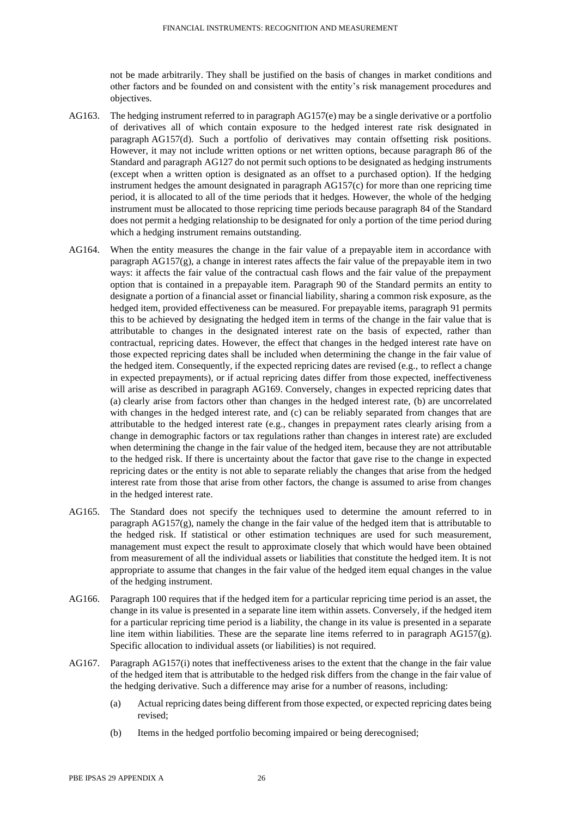not be made arbitrarily. They shall be justified on the basis of changes in market conditions and other factors and be founded on and consistent with the entity's risk management procedures and objectives.

- AG163. The hedging instrument referred to in paragraph AG157(e) may be a single derivative or a portfolio of derivatives all of which contain exposure to the hedged interest rate risk designated in paragraph AG157(d). Such a portfolio of derivatives may contain offsetting risk positions. However, it may not include written options or net written options, because paragraph 86 of the Standard and paragraph AG127 do not permit such options to be designated as hedging instruments (except when a written option is designated as an offset to a purchased option). If the hedging instrument hedges the amount designated in paragraph  $AG157(c)$  for more than one repricing time period, it is allocated to all of the time periods that it hedges. However, the whole of the hedging instrument must be allocated to those repricing time periods because paragraph 84 of the Standard does not permit a hedging relationship to be designated for only a portion of the time period during which a hedging instrument remains outstanding.
- AG164. When the entity measures the change in the fair value of a prepayable item in accordance with paragraph  $AG157(g)$ , a change in interest rates affects the fair value of the prepayable item in two ways: it affects the fair value of the contractual cash flows and the fair value of the prepayment option that is contained in a prepayable item. Paragraph 90 of the Standard permits an entity to designate a portion of a financial asset or financial liability, sharing a common risk exposure, as the hedged item, provided effectiveness can be measured. For prepayable items, paragraph 91 permits this to be achieved by designating the hedged item in terms of the change in the fair value that is attributable to changes in the designated interest rate on the basis of expected, rather than contractual, repricing dates. However, the effect that changes in the hedged interest rate have on those expected repricing dates shall be included when determining the change in the fair value of the hedged item. Consequently, if the expected repricing dates are revised (e.g., to reflect a change in expected prepayments), or if actual repricing dates differ from those expected, ineffectiveness will arise as described in paragraph AG169. Conversely, changes in expected repricing dates that (a) clearly arise from factors other than changes in the hedged interest rate, (b) are uncorrelated with changes in the hedged interest rate, and (c) can be reliably separated from changes that are attributable to the hedged interest rate (e.g., changes in prepayment rates clearly arising from a change in demographic factors or tax regulations rather than changes in interest rate) are excluded when determining the change in the fair value of the hedged item, because they are not attributable to the hedged risk. If there is uncertainty about the factor that gave rise to the change in expected repricing dates or the entity is not able to separate reliably the changes that arise from the hedged interest rate from those that arise from other factors, the change is assumed to arise from changes in the hedged interest rate.
- AG165. The Standard does not specify the techniques used to determine the amount referred to in paragraph AG157(g), namely the change in the fair value of the hedged item that is attributable to the hedged risk. If statistical or other estimation techniques are used for such measurement, management must expect the result to approximate closely that which would have been obtained from measurement of all the individual assets or liabilities that constitute the hedged item. It is not appropriate to assume that changes in the fair value of the hedged item equal changes in the value of the hedging instrument.
- AG166. Paragraph 100 requires that if the hedged item for a particular repricing time period is an asset, the change in its value is presented in a separate line item within assets. Conversely, if the hedged item for a particular repricing time period is a liability, the change in its value is presented in a separate line item within liabilities. These are the separate line items referred to in paragraph AG157(g). Specific allocation to individual assets (or liabilities) is not required.
- AG167. Paragraph AG157(i) notes that ineffectiveness arises to the extent that the change in the fair value of the hedged item that is attributable to the hedged risk differs from the change in the fair value of the hedging derivative. Such a difference may arise for a number of reasons, including:
	- (a) Actual repricing dates being different from those expected, or expected repricing dates being revised;
	- (b) Items in the hedged portfolio becoming impaired or being derecognised;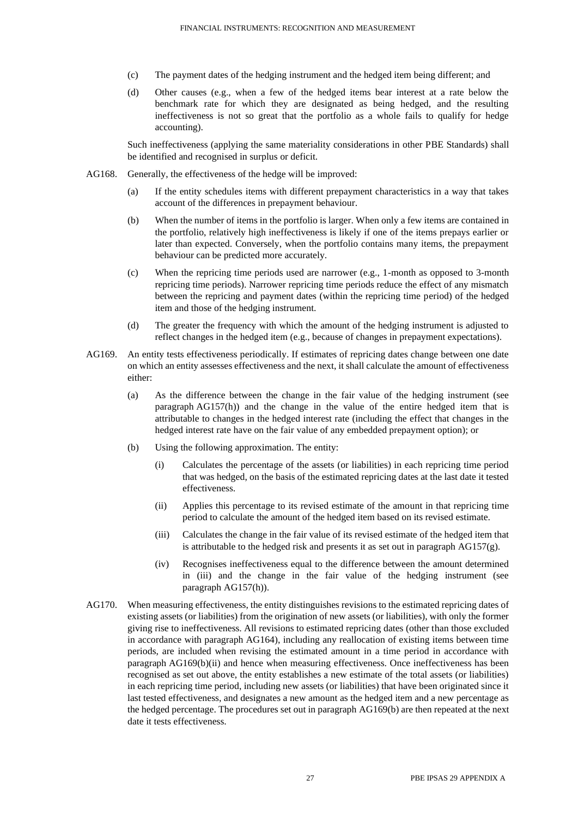- (c) The payment dates of the hedging instrument and the hedged item being different; and
- (d) Other causes (e.g., when a few of the hedged items bear interest at a rate below the benchmark rate for which they are designated as being hedged, and the resulting ineffectiveness is not so great that the portfolio as a whole fails to qualify for hedge accounting).

Such ineffectiveness (applying the same materiality considerations in other PBE Standards) shall be identified and recognised in surplus or deficit.

- AG168. Generally, the effectiveness of the hedge will be improved:
	- (a) If the entity schedules items with different prepayment characteristics in a way that takes account of the differences in prepayment behaviour.
	- (b) When the number of items in the portfolio is larger. When only a few items are contained in the portfolio, relatively high ineffectiveness is likely if one of the items prepays earlier or later than expected. Conversely, when the portfolio contains many items, the prepayment behaviour can be predicted more accurately.
	- (c) When the repricing time periods used are narrower (e.g., 1-month as opposed to 3-month repricing time periods). Narrower repricing time periods reduce the effect of any mismatch between the repricing and payment dates (within the repricing time period) of the hedged item and those of the hedging instrument.
	- (d) The greater the frequency with which the amount of the hedging instrument is adjusted to reflect changes in the hedged item (e.g., because of changes in prepayment expectations).
- AG169. An entity tests effectiveness periodically. If estimates of repricing dates change between one date on which an entity assesses effectiveness and the next, it shall calculate the amount of effectiveness either:
	- (a) As the difference between the change in the fair value of the hedging instrument (see paragraph AG157(h)) and the change in the value of the entire hedged item that is attributable to changes in the hedged interest rate (including the effect that changes in the hedged interest rate have on the fair value of any embedded prepayment option); or
	- (b) Using the following approximation. The entity:
		- (i) Calculates the percentage of the assets (or liabilities) in each repricing time period that was hedged, on the basis of the estimated repricing dates at the last date it tested effectiveness.
		- (ii) Applies this percentage to its revised estimate of the amount in that repricing time period to calculate the amount of the hedged item based on its revised estimate.
		- (iii) Calculates the change in the fair value of its revised estimate of the hedged item that is attributable to the hedged risk and presents it as set out in paragraph AG157(g).
		- (iv) Recognises ineffectiveness equal to the difference between the amount determined in (iii) and the change in the fair value of the hedging instrument (see paragraph AG157(h)).
- AG170. When measuring effectiveness, the entity distinguishes revisions to the estimated repricing dates of existing assets (or liabilities) from the origination of new assets (or liabilities), with only the former giving rise to ineffectiveness. All revisions to estimated repricing dates (other than those excluded in accordance with paragraph AG164), including any reallocation of existing items between time periods, are included when revising the estimated amount in a time period in accordance with paragraph AG169(b)(ii) and hence when measuring effectiveness. Once ineffectiveness has been recognised as set out above, the entity establishes a new estimate of the total assets (or liabilities) in each repricing time period, including new assets (or liabilities) that have been originated since it last tested effectiveness, and designates a new amount as the hedged item and a new percentage as the hedged percentage. The procedures set out in paragraph AG169(b) are then repeated at the next date it tests effectiveness.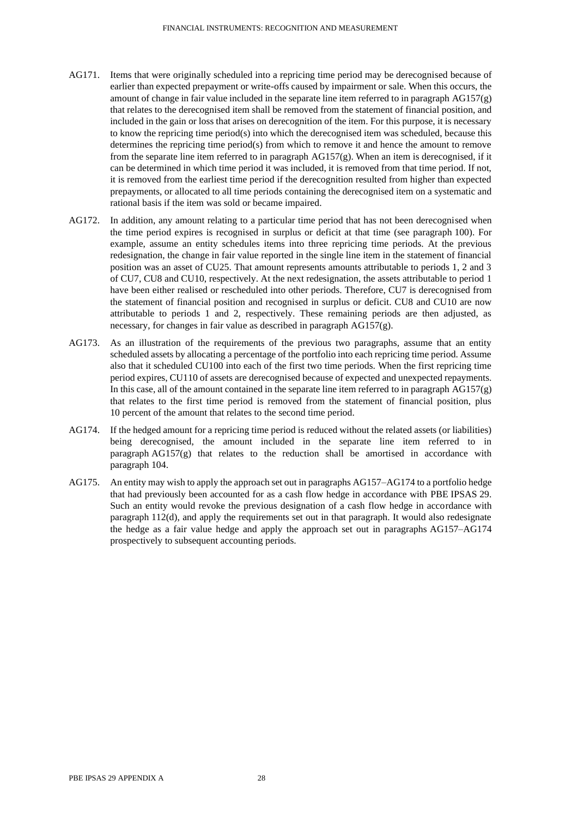- AG171. Items that were originally scheduled into a repricing time period may be derecognised because of earlier than expected prepayment or write-offs caused by impairment or sale. When this occurs, the amount of change in fair value included in the separate line item referred to in paragraph  $AG157(g)$ that relates to the derecognised item shall be removed from the statement of financial position, and included in the gain or loss that arises on derecognition of the item. For this purpose, it is necessary to know the repricing time period(s) into which the derecognised item was scheduled, because this determines the repricing time period(s) from which to remove it and hence the amount to remove from the separate line item referred to in paragraph AG157(g). When an item is derecognised, if it can be determined in which time period it was included, it is removed from that time period. If not, it is removed from the earliest time period if the derecognition resulted from higher than expected prepayments, or allocated to all time periods containing the derecognised item on a systematic and rational basis if the item was sold or became impaired.
- AG172. In addition, any amount relating to a particular time period that has not been derecognised when the time period expires is recognised in surplus or deficit at that time (see paragraph 100). For example, assume an entity schedules items into three repricing time periods. At the previous redesignation, the change in fair value reported in the single line item in the statement of financial position was an asset of CU25. That amount represents amounts attributable to periods 1, 2 and 3 of CU7, CU8 and CU10, respectively. At the next redesignation, the assets attributable to period 1 have been either realised or rescheduled into other periods. Therefore, CU7 is derecognised from the statement of financial position and recognised in surplus or deficit. CU8 and CU10 are now attributable to periods 1 and 2, respectively. These remaining periods are then adjusted, as necessary, for changes in fair value as described in paragraph AG157(g).
- AG173. As an illustration of the requirements of the previous two paragraphs, assume that an entity scheduled assets by allocating a percentage of the portfolio into each repricing time period. Assume also that it scheduled CU100 into each of the first two time periods. When the first repricing time period expires, CU110 of assets are derecognised because of expected and unexpected repayments. In this case, all of the amount contained in the separate line item referred to in paragraph  $AG157(g)$ that relates to the first time period is removed from the statement of financial position, plus 10 percent of the amount that relates to the second time period.
- AG174. If the hedged amount for a repricing time period is reduced without the related assets (or liabilities) being derecognised, the amount included in the separate line item referred to in paragraph  $AG157(g)$  that relates to the reduction shall be amortised in accordance with paragraph 104.
- AG175. An entity may wish to apply the approach set out in paragraphs AG157–AG174 to a portfolio hedge that had previously been accounted for as a cash flow hedge in accordance with PBE IPSAS 29. Such an entity would revoke the previous designation of a cash flow hedge in accordance with paragraph 112(d), and apply the requirements set out in that paragraph. It would also redesignate the hedge as a fair value hedge and apply the approach set out in paragraphs AG157–AG174 prospectively to subsequent accounting periods.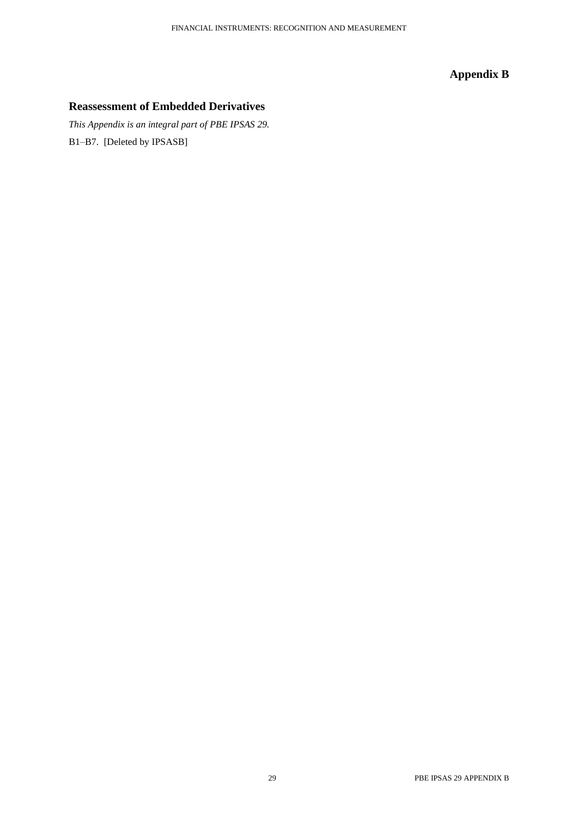**Appendix B**

# **Reassessment of Embedded Derivatives**

*This Appendix is an integral part of PBE IPSAS 29.* B1–B7. [Deleted by IPSASB]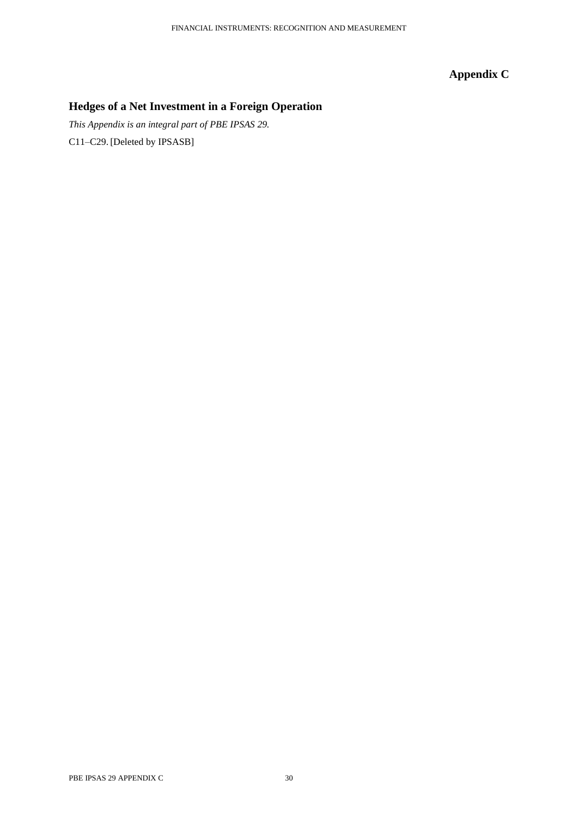# **Appendix C**

# **Hedges of a Net Investment in a Foreign Operation**

*This Appendix is an integral part of PBE IPSAS 29.* C11–C29. [Deleted by IPSASB]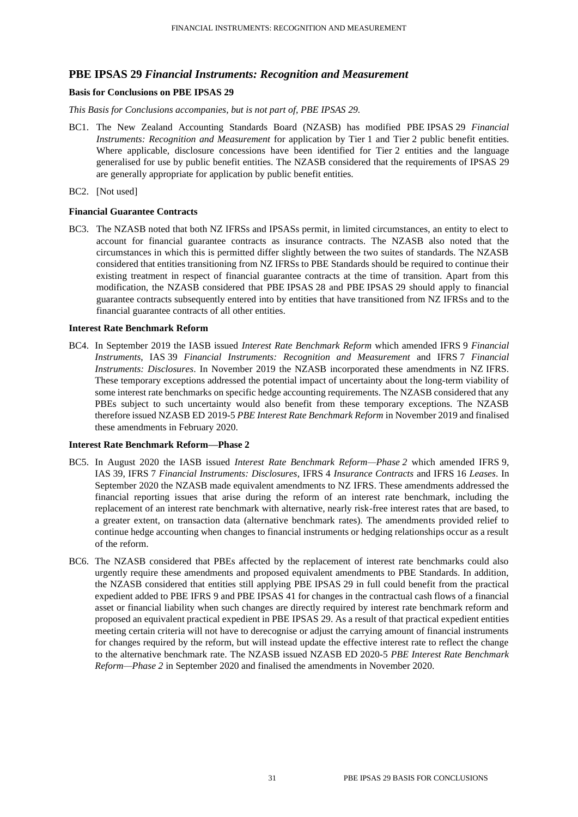## **PBE IPSAS 29** *Financial Instruments: Recognition and Measurement*

#### **Basis for Conclusions on PBE IPSAS 29**

*This Basis for Conclusions accompanies, but is not part of, PBE IPSAS 29.* 

BC1. The New Zealand Accounting Standards Board (NZASB) has modified PBE IPSAS 29 *Financial Instruments: Recognition and Measurement* for application by Tier 1 and Tier 2 public benefit entities. Where applicable, disclosure concessions have been identified for Tier 2 entities and the language generalised for use by public benefit entities. The NZASB considered that the requirements of IPSAS 29 are generally appropriate for application by public benefit entities.

BC2. [Not used]

#### **Financial Guarantee Contracts**

BC3. The NZASB noted that both NZ IFRSs and IPSASs permit, in limited circumstances, an entity to elect to account for financial guarantee contracts as insurance contracts. The NZASB also noted that the circumstances in which this is permitted differ slightly between the two suites of standards. The NZASB considered that entities transitioning from NZ IFRSs to PBE Standards should be required to continue their existing treatment in respect of financial guarantee contracts at the time of transition. Apart from this modification, the NZASB considered that PBE IPSAS 28 and PBE IPSAS 29 should apply to financial guarantee contracts subsequently entered into by entities that have transitioned from NZ IFRSs and to the financial guarantee contracts of all other entities.

#### **Interest Rate Benchmark Reform**

BC4. In September 2019 the IASB issued *Interest Rate Benchmark Reform* which amended IFRS 9 *Financial Instruments*, IAS 39 *Financial Instruments: Recognition and Measurement* and IFRS 7 *Financial Instruments: Disclosures*. In November 2019 the NZASB incorporated these amendments in NZ IFRS. These temporary exceptions addressed the potential impact of uncertainty about the long-term viability of some interest rate benchmarks on specific hedge accounting requirements. The NZASB considered that any PBEs subject to such uncertainty would also benefit from these temporary exceptions. The NZASB therefore issued NZASB ED 2019-5 *PBE Interest Rate Benchmark Reform* in November 2019 and finalised these amendments in February 2020.

#### **Interest Rate Benchmark Reform—Phase 2**

- BC5. In August 2020 the IASB issued *Interest Rate Benchmark Reform—Phase 2* which amended IFRS 9, IAS 39, IFRS 7 *Financial Instruments: Disclosures*, IFRS 4 *Insurance Contracts* and IFRS 16 *Leases*. In September 2020 the NZASB made equivalent amendments to NZ IFRS. These amendments addressed the financial reporting issues that arise during the reform of an interest rate benchmark, including the replacement of an interest rate benchmark with alternative, nearly risk-free interest rates that are based, to a greater extent, on transaction data (alternative benchmark rates). The amendments provided relief to continue hedge accounting when changes to financial instruments or hedging relationships occur as a result of the reform.
- BC6. The NZASB considered that PBEs affected by the replacement of interest rate benchmarks could also urgently require these amendments and proposed equivalent amendments to PBE Standards. In addition, the NZASB considered that entities still applying PBE IPSAS 29 in full could benefit from the practical expedient added to PBE IFRS 9 and PBE IPSAS 41 for changes in the contractual cash flows of a financial asset or financial liability when such changes are directly required by interest rate benchmark reform and proposed an equivalent practical expedient in PBE IPSAS 29. As a result of that practical expedient entities meeting certain criteria will not have to derecognise or adjust the carrying amount of financial instruments for changes required by the reform, but will instead update the effective interest rate to reflect the change to the alternative benchmark rate. The NZASB issued NZASB ED 2020-5 *PBE Interest Rate Benchmark Reform—Phase 2* in September 2020 and finalised the amendments in November 2020.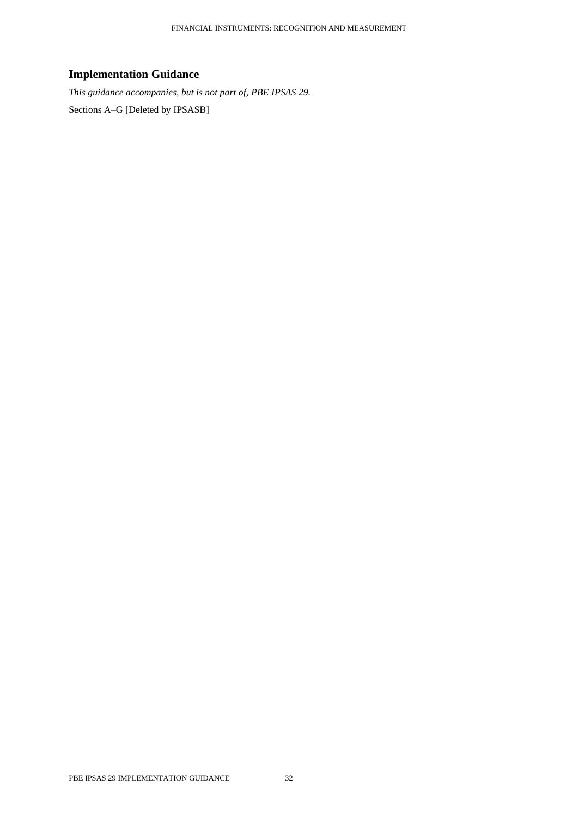# **Implementation Guidance**

*This guidance accompanies, but is not part of, PBE IPSAS 29.* Sections A–G [Deleted by IPSASB]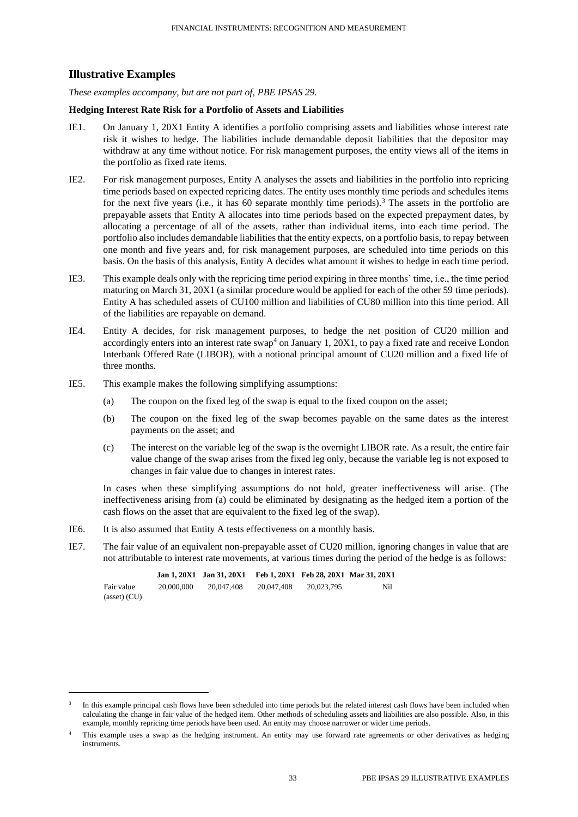# **Illustrative Examples**

*These examples accompany, but are not part of, PBE IPSAS 29.* 

#### **Hedging Interest Rate Risk for a Portfolio of Assets and Liabilities**

- IE1. On January 1, 20X1 Entity A identifies a portfolio comprising assets and liabilities whose interest rate risk it wishes to hedge. The liabilities include demandable deposit liabilities that the depositor may withdraw at any time without notice. For risk management purposes, the entity views all of the items in the portfolio as fixed rate items.
- IE2. For risk management purposes, Entity A analyses the assets and liabilities in the portfolio into repricing time periods based on expected repricing dates. The entity uses monthly time periods and schedules items for the next five years (i.e., it has 60 separate monthly time periods).<sup>3</sup> The assets in the portfolio are prepayable assets that Entity A allocates into time periods based on the expected prepayment dates, by allocating a percentage of all of the assets, rather than individual items, into each time period. The portfolio also includes demandable liabilities that the entity expects, on a portfolio basis, to repay between one month and five years and, for risk management purposes, are scheduled into time periods on this basis. On the basis of this analysis, Entity A decides what amount it wishes to hedge in each time period.
- IE3. This example deals only with the repricing time period expiring in three months' time, i.e., the time period maturing on March 31, 20X1 (a similar procedure would be applied for each of the other 59 time periods). Entity A has scheduled assets of CU100 million and liabilities of CU80 million into this time period. All of the liabilities are repayable on demand.
- IE4. Entity A decides, for risk management purposes, to hedge the net position of CU20 million and accordingly enters into an interest rate swap<sup>4</sup> on January 1, 20X1, to pay a fixed rate and receive London Interbank Offered Rate (LIBOR), with a notional principal amount of CU20 million and a fixed life of three months.
- IE5. This example makes the following simplifying assumptions:
	- (a) The coupon on the fixed leg of the swap is equal to the fixed coupon on the asset;
	- (b) The coupon on the fixed leg of the swap becomes payable on the same dates as the interest payments on the asset; and
	- (c) The interest on the variable leg of the swap is the overnight LIBOR rate. As a result, the entire fair value change of the swap arises from the fixed leg only, because the variable leg is not exposed to changes in fair value due to changes in interest rates.

In cases when these simplifying assumptions do not hold, greater ineffectiveness will arise. (The ineffectiveness arising from (a) could be eliminated by designating as the hedged item a portion of the cash flows on the asset that are equivalent to the fixed leg of the swap).

- IE6. It is also assumed that Entity A tests effectiveness on a monthly basis.
- IE7. The fair value of an equivalent non-prepayable asset of CU20 million, ignoring changes in value that are not attributable to interest rate movements, at various times during the period of the hedge is as follows:

|              |            | Jan 1, 20X1 Jan 31, 20X1 Feb 1, 20X1 Feb 28, 20X1 Mar 31, 20X1 |            |            |     |
|--------------|------------|----------------------------------------------------------------|------------|------------|-----|
| Fair value   | 20,000,000 | 20.047.408                                                     | 20,047,408 | 20,023,795 | Nil |
| (asset) (CU) |            |                                                                |            |            |     |

<sup>3</sup> In this example principal cash flows have been scheduled into time periods but the related interest cash flows have been included when calculating the change in fair value of the hedged item. Other methods of scheduling assets and liabilities are also possible. Also, in this example, monthly repricing time periods have been used. An entity may choose narrower or wider time periods.

This example uses a swap as the hedging instrument. An entity may use forward rate agreements or other derivatives as hedging instruments.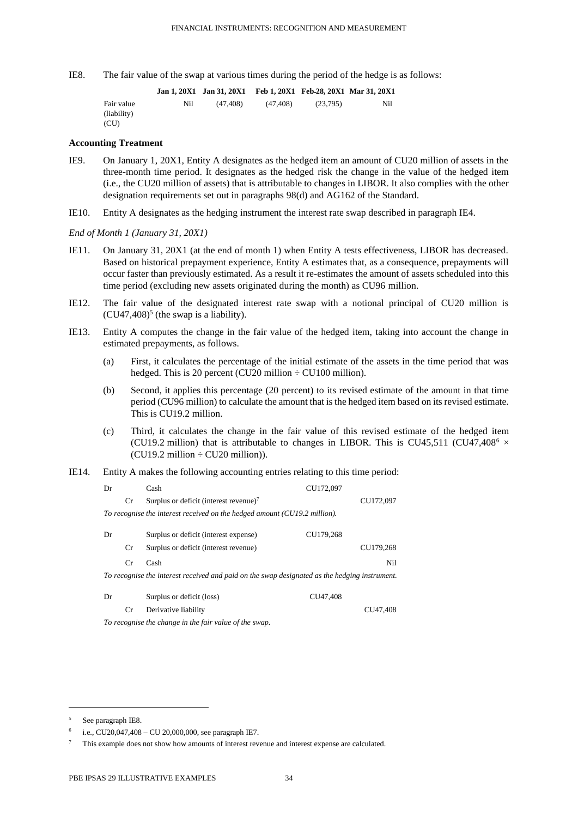IE8. The fair value of the swap at various times during the period of the hedge is as follows:

|                                   |     | Jan 1, 20X1 Jan 31, 20X1 Feb 1, 20X1 Feb 28, 20X1 Mar 31, 20X1 |          |          |     |
|-----------------------------------|-----|----------------------------------------------------------------|----------|----------|-----|
| Fair value<br>(liability)<br>(CU) | Nil | (47.408)                                                       | (47.408) | (23.795) | Nil |

#### **Accounting Treatment**

- IE9. On January 1, 20X1, Entity A designates as the hedged item an amount of CU20 million of assets in the three-month time period. It designates as the hedged risk the change in the value of the hedged item (i.e., the CU20 million of assets) that is attributable to changes in LIBOR. It also complies with the other designation requirements set out in paragraphs 98(d) and AG162 of the Standard.
- IE10. Entity A designates as the hedging instrument the interest rate swap described in paragraph IE4.

*End of Month 1 (January 31, 20X1)*

- IE11. On January 31, 20X1 (at the end of month 1) when Entity A tests effectiveness, LIBOR has decreased. Based on historical prepayment experience, Entity A estimates that, as a consequence, prepayments will occur faster than previously estimated. As a result it re-estimates the amount of assets scheduled into this time period (excluding new assets originated during the month) as CU96 million.
- IE12. The fair value of the designated interest rate swap with a notional principal of CU20 million is  $(CU47,408)^5$  (the swap is a liability).
- IE13. Entity A computes the change in the fair value of the hedged item, taking into account the change in estimated prepayments, as follows.
	- (a) First, it calculates the percentage of the initial estimate of the assets in the time period that was hedged. This is 20 percent (CU20 million  $\div$  CU100 million).
	- (b) Second, it applies this percentage (20 percent) to its revised estimate of the amount in that time period (CU96 million) to calculate the amount that is the hedged item based on its revised estimate. This is CU19.2 million.
	- (c) Third, it calculates the change in the fair value of this revised estimate of the hedged item (CU19.2 million) that is attributable to changes in LIBOR. This is CU45,511 (CU47,408<sup>6</sup>  $\times$  $(CU19.2 \text{ million} \div CU20 \text{ million}).$
- IE14. Entity A makes the following accounting entries relating to this time period:

| Dr                                                                        |             | Cash                                                                                          | CU172,097 |
|---------------------------------------------------------------------------|-------------|-----------------------------------------------------------------------------------------------|-----------|
|                                                                           | Cr.         | Surplus or deficit (interest revenue) <sup>7</sup>                                            | CU172,097 |
| To recognise the interest received on the hedged amount (CU19.2 million). |             |                                                                                               |           |
| Dr                                                                        |             | Surplus or deficit (interest expense)                                                         | CU179,268 |
|                                                                           | Cr.         | Surplus or deficit (interest revenue)                                                         | CU179,268 |
|                                                                           | Cr          | Cash                                                                                          | Nil       |
|                                                                           |             | To recognise the interest received and paid on the swap designated as the hedging instrument. |           |
| Dr                                                                        |             | Surplus or deficit (loss)                                                                     | CU47.408  |
|                                                                           | $_{\rm Cr}$ | Derivative liability                                                                          | CU47.408  |

*To recognise the change in the fair value of the swap.*

See paragraph IE8.

<sup>6</sup> i.e., CU20,047,408 – CU 20,000,000, see paragraph IE7.

<sup>7</sup> This example does not show how amounts of interest revenue and interest expense are calculated.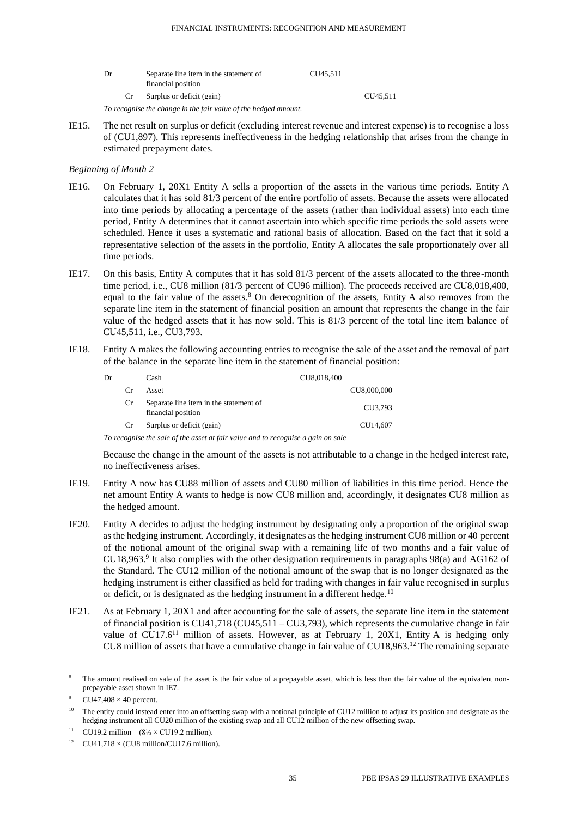| Dr  | Separate line item in the statement of<br>financial position    | CU45.511 |          |
|-----|-----------------------------------------------------------------|----------|----------|
| Cr. | Surplus or deficit (gain)                                       |          | CU45.511 |
|     | To recognise the change in the fair value of the hedged amount. |          |          |

IE15. The net result on surplus or deficit (excluding interest revenue and interest expense) is to recognise a loss of (CU1,897). This represents ineffectiveness in the hedging relationship that arises from the change in estimated prepayment dates.

#### *Beginning of Month 2*

- IE16. On February 1, 20X1 Entity A sells a proportion of the assets in the various time periods. Entity A calculates that it has sold 81/3 percent of the entire portfolio of assets. Because the assets were allocated into time periods by allocating a percentage of the assets (rather than individual assets) into each time period, Entity A determines that it cannot ascertain into which specific time periods the sold assets were scheduled. Hence it uses a systematic and rational basis of allocation. Based on the fact that it sold a representative selection of the assets in the portfolio, Entity A allocates the sale proportionately over all time periods.
- IE17. On this basis, Entity A computes that it has sold 81/3 percent of the assets allocated to the three-month time period, i.e., CU8 million (81/3 percent of CU96 million). The proceeds received are CU8,018,400, equal to the fair value of the assets.<sup>8</sup> On derecognition of the assets, Entity A also removes from the separate line item in the statement of financial position an amount that represents the change in the fair value of the hedged assets that it has now sold. This is 81/3 percent of the total line item balance of CU45,511, i.e., CU3,793.
- IE18. Entity A makes the following accounting entries to recognise the sale of the asset and the removal of part of the balance in the separate line item in the statement of financial position:

| Dr |    | Cash                                                         | CU8,018,400 |             |
|----|----|--------------------------------------------------------------|-------------|-------------|
|    | Сr | Asset                                                        |             | CU8,000,000 |
|    | Сr | Separate line item in the statement of<br>financial position |             | CU3.793     |
|    | Сr | Surplus or deficit (gain)                                    |             | CU14.607    |
|    |    |                                                              |             |             |

*To recognise the sale of the asset at fair value and to recognise a gain on sale*

Because the change in the amount of the assets is not attributable to a change in the hedged interest rate, no ineffectiveness arises.

- IE19. Entity A now has CU88 million of assets and CU80 million of liabilities in this time period. Hence the net amount Entity A wants to hedge is now CU8 million and, accordingly, it designates CU8 million as the hedged amount.
- IE20. Entity A decides to adjust the hedging instrument by designating only a proportion of the original swap as the hedging instrument. Accordingly, it designates as the hedging instrument CU8 million or 40 percent of the notional amount of the original swap with a remaining life of two months and a fair value of CU18,963.<sup>9</sup> It also complies with the other designation requirements in paragraphs 98(a) and AG162 of the Standard. The CU12 million of the notional amount of the swap that is no longer designated as the hedging instrument is either classified as held for trading with changes in fair value recognised in surplus or deficit, or is designated as the hedging instrument in a different hedge.<sup>10</sup>
- IE21. As at February 1, 20X1 and after accounting for the sale of assets, the separate line item in the statement of financial position is CU41,718 (CU45,511 – CU3,793), which represents the cumulative change in fair value of  $CU17.6<sup>11</sup>$  million of assets. However, as at February 1, 20X1, Entity A is hedging only CU8 million of assets that have a cumulative change in fair value of CU18,963.<sup>12</sup> The remaining separate

The amount realised on sale of the asset is the fair value of a prepayable asset, which is less than the fair value of the equivalent nonprepayable asset shown in IE7.

 $CU47,408 \times 40$  percent.

<sup>&</sup>lt;sup>10</sup> The entity could instead enter into an offsetting swap with a notional principle of CU12 million to adjust its position and designate as the hedging instrument all CU20 million of the existing swap and all CU12 million of the new offsetting swap.

 $11$  CU19.2 million –  $(8\frac{1}{3} \times$  CU19.2 million).

<sup>&</sup>lt;sup>12</sup> CU41,718  $\times$  (CU8 million/CU17.6 million).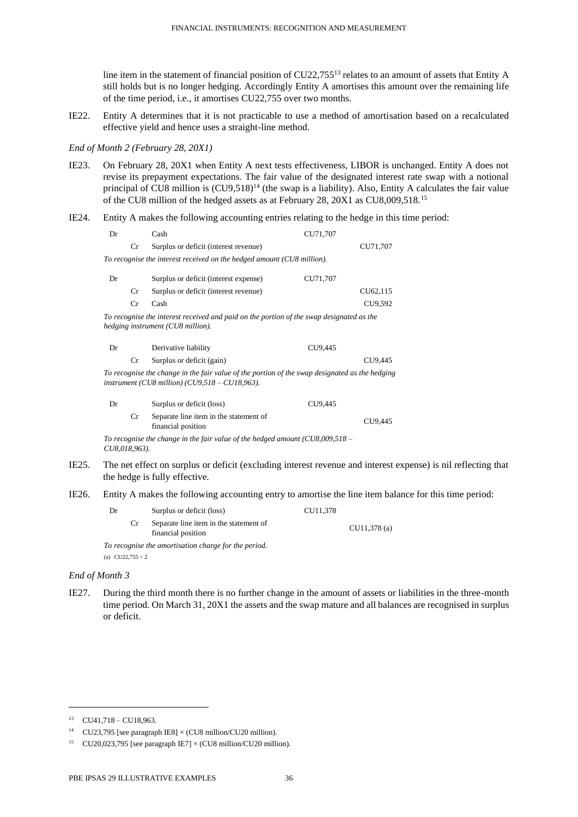line item in the statement of financial position of CU22,755<sup>13</sup> relates to an amount of assets that Entity A still holds but is no longer hedging. Accordingly Entity A amortises this amount over the remaining life of the time period, i.e., it amortises CU22,755 over two months.

IE22. Entity A determines that it is not practicable to use a method of amortisation based on a recalculated effective yield and hence uses a straight-line method.

#### *End of Month 2 (February 28, 20X1)*

- IE23. On February 28, 20X1 when Entity A next tests effectiveness, LIBOR is unchanged. Entity A does not revise its prepayment expectations. The fair value of the designated interest rate swap with a notional principal of CU8 million is  $(CU9,518)^{14}$  (the swap is a liability). Also, Entity A calculates the fair value of the CU8 million of the hedged assets as at February 28, 20X1 as CU8,009,518.<sup>15</sup>
- IE24. Entity A makes the following accounting entries relating to the hedge in this time period:

| Dr |     | Cash                                                                                                                          | CU71,707 |          |
|----|-----|-------------------------------------------------------------------------------------------------------------------------------|----------|----------|
|    | Cr. | Surplus or deficit (interest revenue)                                                                                         |          | CU71,707 |
|    |     | To recognise the interest received on the hedged amount (CU8 million).                                                        |          |          |
| Dr |     | Surplus or deficit (interest expense)                                                                                         | CU71,707 |          |
|    | Cr. | Surplus or deficit (interest revenue)                                                                                         |          | CU62,115 |
|    | Cr  | Cash                                                                                                                          |          | CU9,592  |
|    |     | To recognise the interest received and paid on the portion of the swap designated as the<br>hedging instrument (CU8 million). |          |          |
| Dr |     | Derivative liability                                                                                                          | CU9,445  |          |
|    | Cr. | Surplus or deficit (gain)                                                                                                     |          | CU9,445  |
|    |     | To recognise the change in the fair value of the portion of the swap designated as the hedging                                |          |          |

*instrument (CU8 million) (CU9,518 – CU18,963).*

| Dr | CU9.445<br>Surplus or deficit (loss)                                          |         |
|----|-------------------------------------------------------------------------------|---------|
|    | Separate line item in the statement of<br>financial position                  | CU9.445 |
|    | To recognise the change in the fair value of the hedged amount (CU8,009,518 – |         |

*CU8,018,963).*

- IE25. The net effect on surplus or deficit (excluding interest revenue and interest expense) is nil reflecting that the hedge is fully effective.
- IE26. Entity A makes the following accounting entry to amortise the line item balance for this time period:

| Dr |                       | Surplus or deficit (loss)                                    | CU11.378 |             |
|----|-----------------------|--------------------------------------------------------------|----------|-------------|
|    | Cr                    | Separate line item in the statement of<br>financial position |          | CU11,378(a) |
|    |                       | To recognise the amortisation charge for the period.         |          |             |
|    | (a) $CU22,755 \div 2$ |                                                              |          |             |

#### *End of Month 3*

IE27. During the third month there is no further change in the amount of assets or liabilities in the three-month time period. On March 31, 20X1 the assets and the swap mature and all balances are recognised in surplus or deficit.

<sup>13</sup> CU41,718 – CU18,963.

<sup>&</sup>lt;sup>14</sup> CU23,795 [see paragraph IE8]  $\times$  (CU8 million/CU20 million).

<sup>&</sup>lt;sup>15</sup> CU20,023,795 [see paragraph IE7]  $\times$  (CU8 million/CU20 million).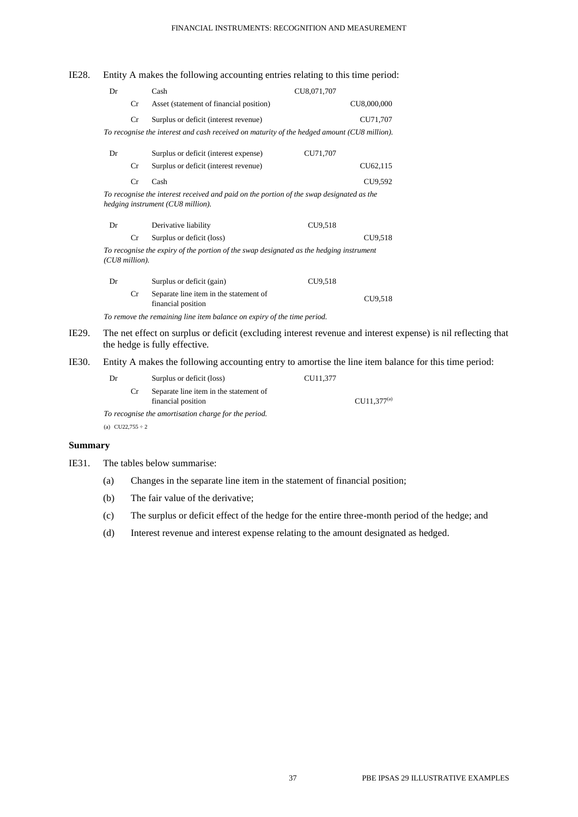| IE28. |  |  | Entity A makes the following accounting entries relating to this time period: |
|-------|--|--|-------------------------------------------------------------------------------|
|       |  |  |                                                                               |

| Dr |                | Cash                                                                                                                          | CU8,071,707 |             |
|----|----------------|-------------------------------------------------------------------------------------------------------------------------------|-------------|-------------|
|    | Cr             | Asset (statement of financial position)                                                                                       |             | CU8,000,000 |
|    | $_{\rm Cr}$    | Surplus or deficit (interest revenue)                                                                                         |             | CU71,707    |
|    |                | To recognise the interest and cash received on maturity of the hedged amount (CU8 million).                                   |             |             |
| Dr |                | Surplus or deficit (interest expense)                                                                                         | CU71,707    |             |
|    | $_{\rm Cr}$    | Surplus or deficit (interest revenue)                                                                                         |             | CU62,115    |
|    | $_{\rm Cr}$    | Cash                                                                                                                          |             | CU9,592     |
|    |                | To recognise the interest received and paid on the portion of the swap designated as the<br>hedging instrument (CU8 million). |             |             |
| Dr |                | Derivative liability                                                                                                          | CU9,518     |             |
|    | $_{\rm Cr}$    | Surplus or deficit (loss)                                                                                                     |             | CU9,518     |
|    | (CU8 million). | To recognise the expiry of the portion of the swap designated as the hedging instrument                                       |             |             |
| Dr |                | Surplus or deficit (gain)                                                                                                     | CU9,518     |             |
|    | $_{\rm Cr}$    | Separate line item in the statement of<br>financial position                                                                  |             | CU9,518     |
|    |                | To remove the remaining line item balance on expiry of the time period.                                                       |             |             |

- IE29. The net effect on surplus or deficit (excluding interest revenue and interest expense) is nil reflecting that the hedge is fully effective.
- IE30. Entity A makes the following accounting entry to amortise the line item balance for this time period:

| Dr |                       | Surplus or deficit (loss)                                    | CU11,377 |                  |
|----|-----------------------|--------------------------------------------------------------|----------|------------------|
|    | Cr.                   | Separate line item in the statement of<br>financial position |          | $CU11,377^{(a)}$ |
|    |                       | To recognise the amortisation charge for the period.         |          |                  |
|    | (a) $CU22,755 \div 2$ |                                                              |          |                  |

#### **Summary**

- IE31. The tables below summarise:
	- (a) Changes in the separate line item in the statement of financial position;
	- (b) The fair value of the derivative;
	- (c) The surplus or deficit effect of the hedge for the entire three-month period of the hedge; and
	- (d) Interest revenue and interest expense relating to the amount designated as hedged.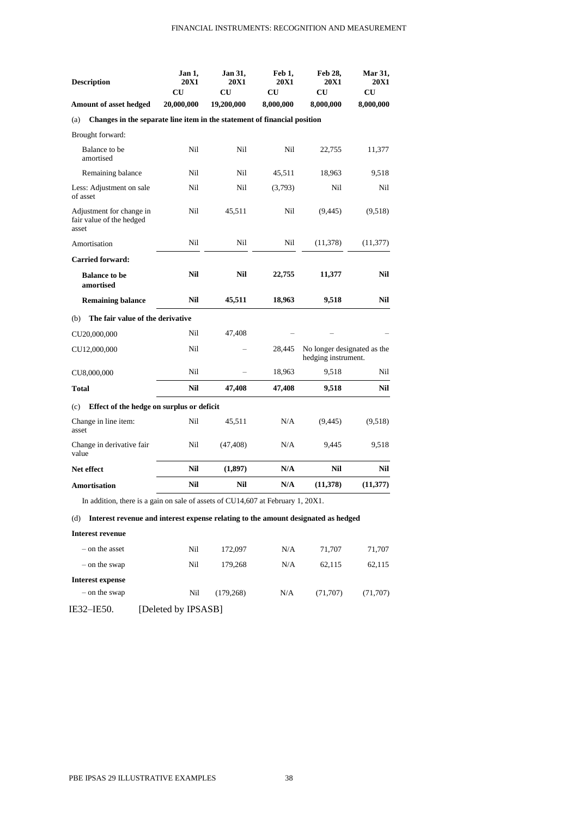| <b>Description</b>                                                              | Jan 1,<br><b>20X1</b><br><b>CU</b> | Jan 31,<br><b>20X1</b><br>CU | Feb 1,<br><b>20X1</b><br><b>CU</b> | Feb 28,<br><b>20X1</b><br><b>CU</b>                | <b>Mar 31,</b><br><b>20X1</b><br>CU |
|---------------------------------------------------------------------------------|------------------------------------|------------------------------|------------------------------------|----------------------------------------------------|-------------------------------------|
| <b>Amount of asset hedged</b>                                                   | 20,000,000                         | 19,200,000                   | 8,000,000                          | 8,000,000                                          | 8,000,000                           |
| Changes in the separate line item in the statement of financial position<br>(a) |                                    |                              |                                    |                                                    |                                     |
| Brought forward:                                                                |                                    |                              |                                    |                                                    |                                     |
| Balance to be<br>amortised                                                      | Nil                                | Nil                          | Nil                                | 22,755                                             | 11,377                              |
| Remaining balance                                                               | Nil                                | Nil                          | 45,511                             | 18,963                                             | 9,518                               |
| Less: Adjustment on sale<br>of asset                                            | Nil                                | Nil                          | (3,793)                            | Nil                                                | Nil                                 |
| Adjustment for change in<br>fair value of the hedged<br>asset                   | Nil                                | 45,511                       | Nil                                | (9, 445)                                           | (9,518)                             |
| Amortisation                                                                    | Nil                                | Nil                          | Nil                                | (11, 378)                                          | (11, 377)                           |
| <b>Carried forward:</b>                                                         |                                    |                              |                                    |                                                    |                                     |
| <b>Balance to be</b><br>amortised                                               | <b>Nil</b>                         | Nil                          | 22,755                             | 11,377                                             | Nil                                 |
| <b>Remaining balance</b>                                                        | Nil                                | 45,511                       | 18,963                             | 9,518                                              | Nil                                 |
| The fair value of the derivative<br>(b)                                         |                                    |                              |                                    |                                                    |                                     |
| CU20,000,000                                                                    | Nil                                | 47,408                       |                                    |                                                    |                                     |
| CU12,000,000                                                                    | Nil                                |                              | 28,445                             | No longer designated as the<br>hedging instrument. |                                     |
| CU8,000,000                                                                     | Nil                                |                              | 18,963                             | 9,518                                              | Nil                                 |
| Total                                                                           | Nil                                | 47,408                       | 47,408                             | 9,518                                              | Nil                                 |
| Effect of the hedge on surplus or deficit<br>(c)                                |                                    |                              |                                    |                                                    |                                     |
| Change in line item:<br>asset                                                   | Nil                                | 45,511                       | N/A                                | (9, 445)                                           | (9,518)                             |
| Change in derivative fair<br>value                                              | Nil                                | (47, 408)                    | N/A                                | 9,445                                              | 9,518                               |
| Net effect                                                                      | Nil                                | (1,897)                      | N/A                                | Nil                                                | Nil                                 |
| <b>Amortisation</b>                                                             | <b>Nil</b>                         | Nil                          | N/A                                | (11,378)                                           | (11, 377)                           |
| In addition, there is a gain on sale of assets of CU14,607 at February 1, 20X1. |                                    |                              |                                    |                                                    |                                     |

## (d) **Interest revenue and interest expense relating to the amount designated as hedged**

| Interest revenue |                     |            |     |          |           |
|------------------|---------------------|------------|-----|----------|-----------|
| – on the asset   | Nil                 | 172,097    | N/A | 71.707   | 71,707    |
| - on the swap    | Nil                 | 179,268    | N/A | 62.115   | 62,115    |
| Interest expense |                     |            |     |          |           |
| $-$ on the swap  | Nil                 | (179, 268) | N/A | (71,707) | (71, 707) |
| IE32–IE50.       | [Deleted by IPSASB] |            |     |          |           |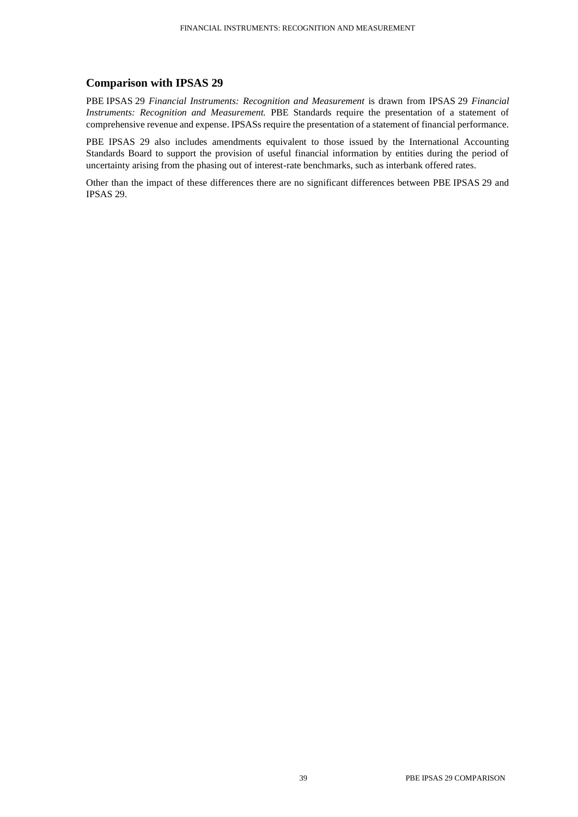# **Comparison with IPSAS 29**

PBE IPSAS 29 *Financial Instruments: Recognition and Measurement* is drawn from IPSAS 29 *Financial Instruments: Recognition and Measurement.* PBE Standards require the presentation of a statement of comprehensive revenue and expense. IPSASs require the presentation of a statement of financial performance.

PBE IPSAS 29 also includes amendments equivalent to those issued by the International Accounting Standards Board to support the provision of useful financial information by entities during the period of uncertainty arising from the phasing out of interest-rate benchmarks, such as interbank offered rates.

Other than the impact of these differences there are no significant differences between PBE IPSAS 29 and IPSAS 29.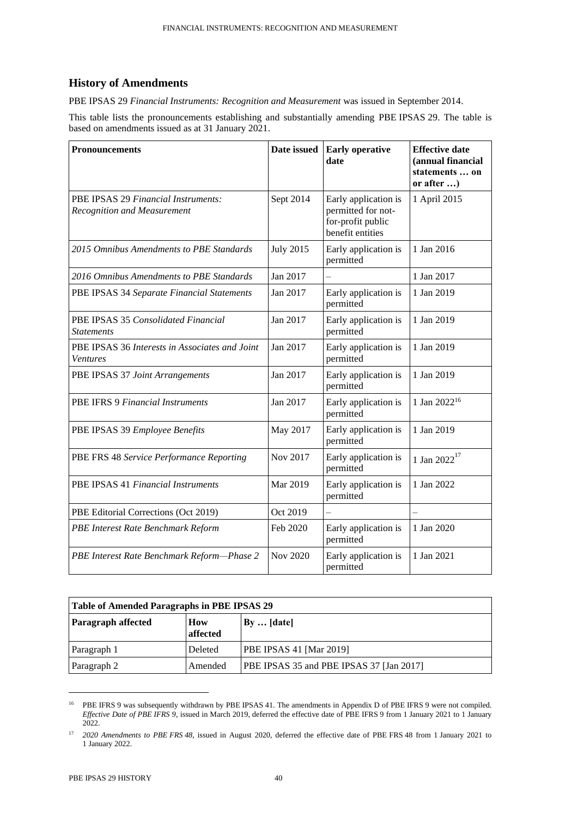# **History of Amendments**

PBE IPSAS 29 *Financial Instruments: Recognition and Measurement* was issued in September 2014.

This table lists the pronouncements establishing and substantially amending PBE IPSAS 29. The table is based on amendments issued as at 31 January 2021.

| <b>Pronouncements</b>                                                     | Date issued      | <b>Early operative</b><br>date                                                      | <b>Effective date</b><br>(annual financial<br>statements  on<br>or after ) |
|---------------------------------------------------------------------------|------------------|-------------------------------------------------------------------------------------|----------------------------------------------------------------------------|
| PBE IPSAS 29 Financial Instruments:<br><b>Recognition and Measurement</b> | Sept 2014        | Early application is<br>permitted for not-<br>for-profit public<br>benefit entities | 1 April 2015                                                               |
| 2015 Omnibus Amendments to PBE Standards                                  | <b>July 2015</b> | Early application is<br>permitted                                                   | 1 Jan 2016                                                                 |
| 2016 Omnibus Amendments to PBE Standards                                  | Jan 2017         |                                                                                     | 1 Jan 2017                                                                 |
| PBE IPSAS 34 Separate Financial Statements                                | Jan 2017         | Early application is<br>permitted                                                   | 1 Jan 2019                                                                 |
| PBE IPSAS 35 Consolidated Financial<br><b>Statements</b>                  | Jan 2017         | Early application is<br>permitted                                                   | 1 Jan 2019                                                                 |
| PBE IPSAS 36 Interests in Associates and Joint<br><i>Ventures</i>         | Jan 2017         | Early application is<br>permitted                                                   | 1 Jan 2019                                                                 |
| PBE IPSAS 37 Joint Arrangements                                           | Jan 2017         | Early application is<br>permitted                                                   | 1 Jan 2019                                                                 |
| PBE IFRS 9 Financial Instruments                                          | Jan 2017         | Early application is<br>permitted                                                   | 1 Jan $2022^{16}$                                                          |
| PBE IPSAS 39 Employee Benefits                                            | May 2017         | Early application is<br>permitted                                                   | 1 Jan 2019                                                                 |
| PBE FRS 48 Service Performance Reporting                                  | Nov 2017         | Early application is<br>permitted                                                   | 1 Jan $2022^{17}$                                                          |
| PBE IPSAS 41 Financial Instruments                                        | Mar 2019         | Early application is<br>permitted                                                   | 1 Jan 2022                                                                 |
| PBE Editorial Corrections (Oct 2019)                                      | Oct 2019         |                                                                                     |                                                                            |
| PBE Interest Rate Benchmark Reform                                        | Feb 2020         | Early application is<br>permitted                                                   | 1 Jan 2020                                                                 |
| PBE Interest Rate Benchmark Reform-Phase 2                                | <b>Nov 2020</b>  | Early application is<br>permitted                                                   | 1 Jan 2021                                                                 |

| Table of Amended Paragraphs in PBE IPSAS 29 |                 |                                          |  |
|---------------------------------------------|-----------------|------------------------------------------|--|
| Paragraph affected                          | How<br>affected | $By \dots [date]$                        |  |
| Paragraph 1                                 | Deleted         | PBE IPSAS 41 [Mar 2019]                  |  |
| Paragraph 2                                 | Amended         | PBE IPSAS 35 and PBE IPSAS 37 [Jan 2017] |  |

<sup>&</sup>lt;sup>16</sup> PBE IFRS 9 was subsequently withdrawn by PBE IPSAS 41. The amendments in Appendix D of PBE IFRS 9 were not compiled. *Effective Date of PBE IFRS 9*, issued in March 2019, deferred the effective date of PBE IFRS 9 from 1 January 2021 to 1 January 2022.

<sup>17</sup> *2020 Amendments to PBE FRS 48*, issued in August 2020, deferred the effective date of PBE FRS 48 from 1 January 2021 to 1 January 2022.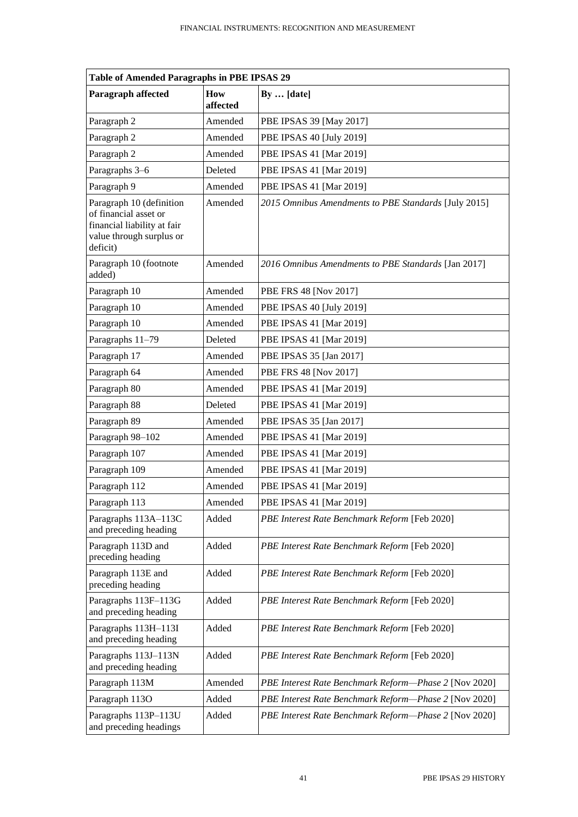| Table of Amended Paragraphs in PBE IPSAS 29                                                                              |                 |                                                       |  |
|--------------------------------------------------------------------------------------------------------------------------|-----------------|-------------------------------------------------------|--|
| Paragraph affected                                                                                                       | How<br>affected | By $\ldots$ [date]                                    |  |
| Paragraph 2                                                                                                              | Amended         | PBE IPSAS 39 [May 2017]                               |  |
| Paragraph 2                                                                                                              | Amended         | PBE IPSAS 40 [July 2019]                              |  |
| Paragraph 2                                                                                                              | Amended         | PBE IPSAS 41 [Mar 2019]                               |  |
| Paragraphs 3-6                                                                                                           | Deleted         | PBE IPSAS 41 [Mar 2019]                               |  |
| Paragraph 9                                                                                                              | Amended         | PBE IPSAS 41 [Mar 2019]                               |  |
| Paragraph 10 (definition<br>of financial asset or<br>financial liability at fair<br>value through surplus or<br>deficit) | Amended         | 2015 Omnibus Amendments to PBE Standards [July 2015]  |  |
| Paragraph 10 (footnote<br>added)                                                                                         | Amended         | 2016 Omnibus Amendments to PBE Standards [Jan 2017]   |  |
| Paragraph 10                                                                                                             | Amended         | PBE FRS 48 [Nov 2017]                                 |  |
| Paragraph 10                                                                                                             | Amended         | PBE IPSAS 40 [July 2019]                              |  |
| Paragraph 10                                                                                                             | Amended         | PBE IPSAS 41 [Mar 2019]                               |  |
| Paragraphs 11-79                                                                                                         | Deleted         | PBE IPSAS 41 [Mar 2019]                               |  |
| Paragraph 17                                                                                                             | Amended         | PBE IPSAS 35 [Jan 2017]                               |  |
| Paragraph 64                                                                                                             | Amended         | PBE FRS 48 [Nov 2017]                                 |  |
| Paragraph 80                                                                                                             | Amended         | PBE IPSAS 41 [Mar 2019]                               |  |
| Paragraph 88                                                                                                             | Deleted         | PBE IPSAS 41 [Mar 2019]                               |  |
| Paragraph 89                                                                                                             | Amended         | PBE IPSAS 35 [Jan 2017]                               |  |
| Paragraph 98-102                                                                                                         | Amended         | PBE IPSAS 41 [Mar 2019]                               |  |
| Paragraph 107                                                                                                            | Amended         | PBE IPSAS 41 [Mar 2019]                               |  |
| Paragraph 109                                                                                                            | Amended         | PBE IPSAS 41 [Mar 2019]                               |  |
| Paragraph 112                                                                                                            | Amended         | PBE IPSAS 41 [Mar 2019]                               |  |
| Paragraph 113                                                                                                            | Amended         | PBE IPSAS 41 [Mar 2019]                               |  |
| Paragraphs 113A-113C<br>and preceding heading                                                                            | Added           | PBE Interest Rate Benchmark Reform [Feb 2020]         |  |
| Paragraph 113D and<br>preceding heading                                                                                  | Added           | PBE Interest Rate Benchmark Reform [Feb 2020]         |  |
| Paragraph 113E and<br>preceding heading                                                                                  | Added           | PBE Interest Rate Benchmark Reform [Feb 2020]         |  |
| Paragraphs 113F-113G<br>and preceding heading                                                                            | Added           | PBE Interest Rate Benchmark Reform [Feb 2020]         |  |
| Paragraphs 113H-113I<br>and preceding heading                                                                            | Added           | PBE Interest Rate Benchmark Reform [Feb 2020]         |  |
| Paragraphs 113J-113N<br>and preceding heading                                                                            | Added           | PBE Interest Rate Benchmark Reform [Feb 2020]         |  |
| Paragraph 113M                                                                                                           | Amended         | PBE Interest Rate Benchmark Reform-Phase 2 [Nov 2020] |  |
| Paragraph 113O                                                                                                           | Added           | PBE Interest Rate Benchmark Reform-Phase 2 [Nov 2020] |  |
| Paragraphs 113P-113U<br>and preceding headings                                                                           | Added           | PBE Interest Rate Benchmark Reform-Phase 2 [Nov 2020] |  |